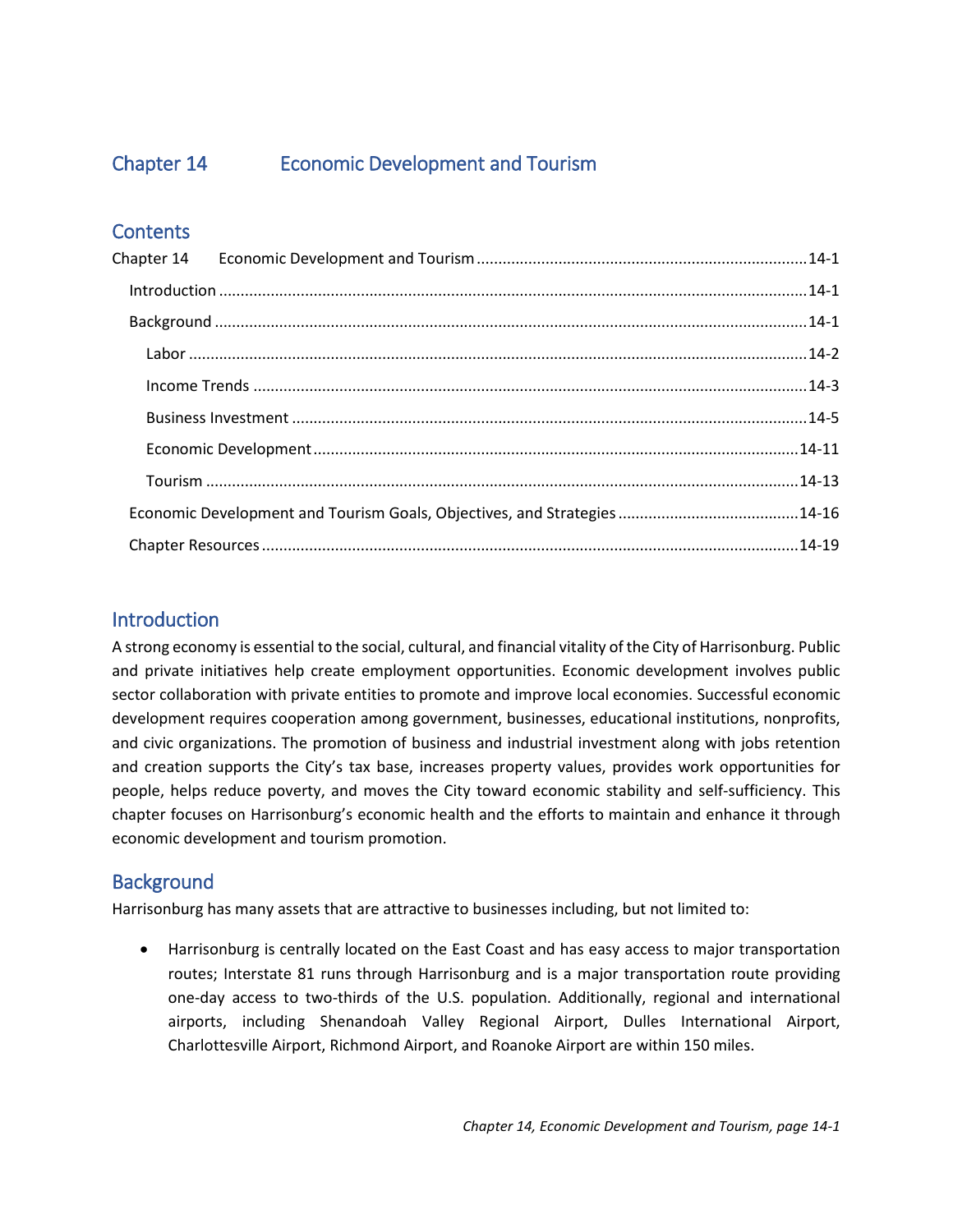Chapter 14.

# **Economic Development and Tourism**







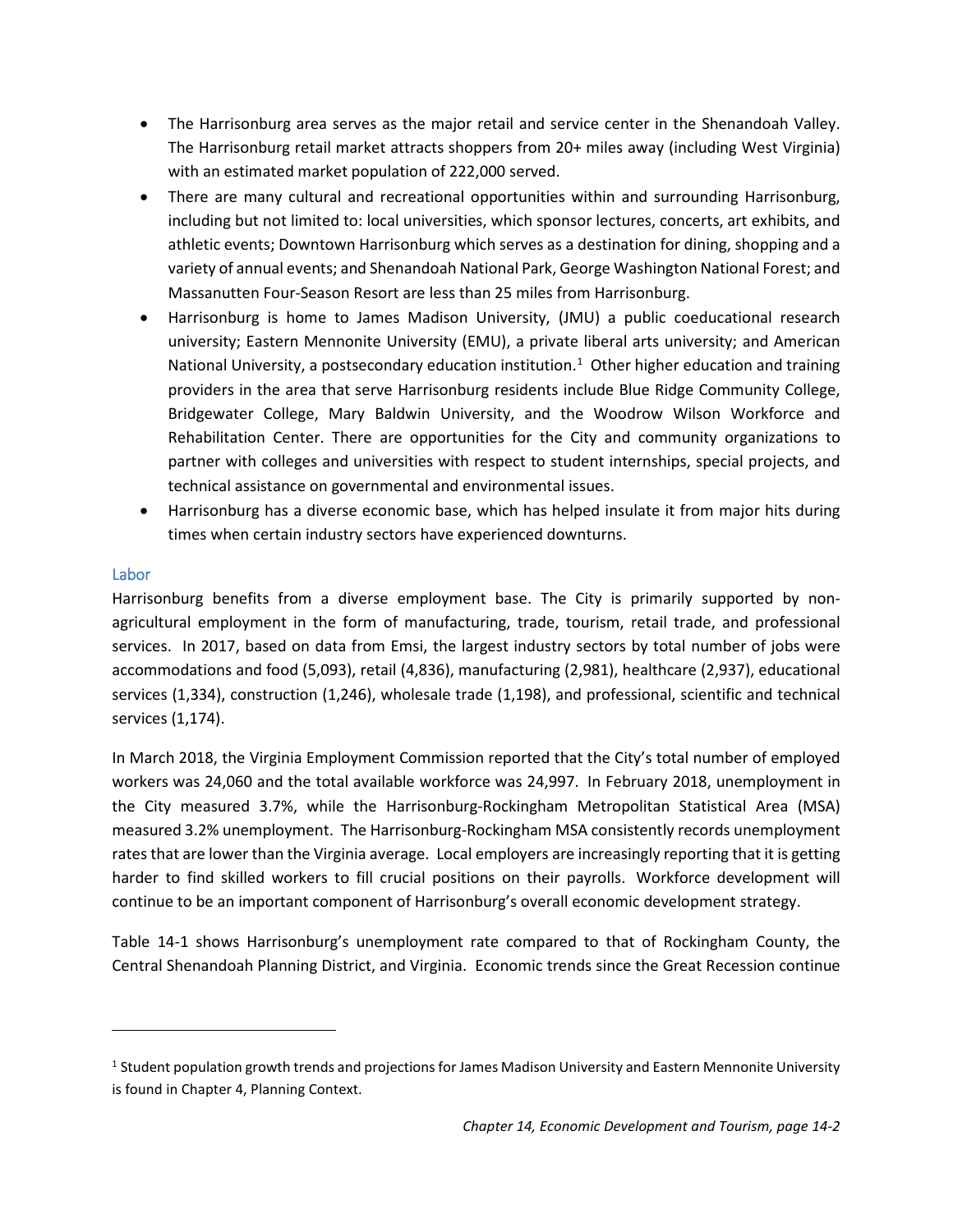# <span id="page-1-0"></span>Chapter 14 Economic Development and Tourism

# **Contents**

# <span id="page-1-1"></span>Introduction

A strong economy is essential to the social, cultural, and financial vitality of the City of Harrisonburg. Public and private initiatives help create employment opportunities. Economic development involves public sector collaboration with private entities to promote and improve local economies. Successful economic development requires cooperation among government, businesses, educational institutions, nonprofits, and civic organizations. The promotion of business and industrial investment along with jobs retention and creation supports the City's tax base, increases property values, provides work opportunities for people, helps reduce poverty, and moves the City toward economic stability and self-sufficiency. This chapter focuses on Harrisonburg's economic health and the efforts to maintain and enhance it through economic development and tourism promotion.

# <span id="page-1-2"></span>**Background**

Harrisonburg has many assets that are attractive to businesses including, but not limited to:

• Harrisonburg is centrally located on the East Coast and has easy access to major transportation routes; Interstate 81 runs through Harrisonburg and is a major transportation route providing one-day access to two-thirds of the U.S. population. Additionally, regional and international airports, including Shenandoah Valley Regional Airport, Dulles International Airport, Charlottesville Airport, Richmond Airport, and Roanoke Airport are within 150 miles.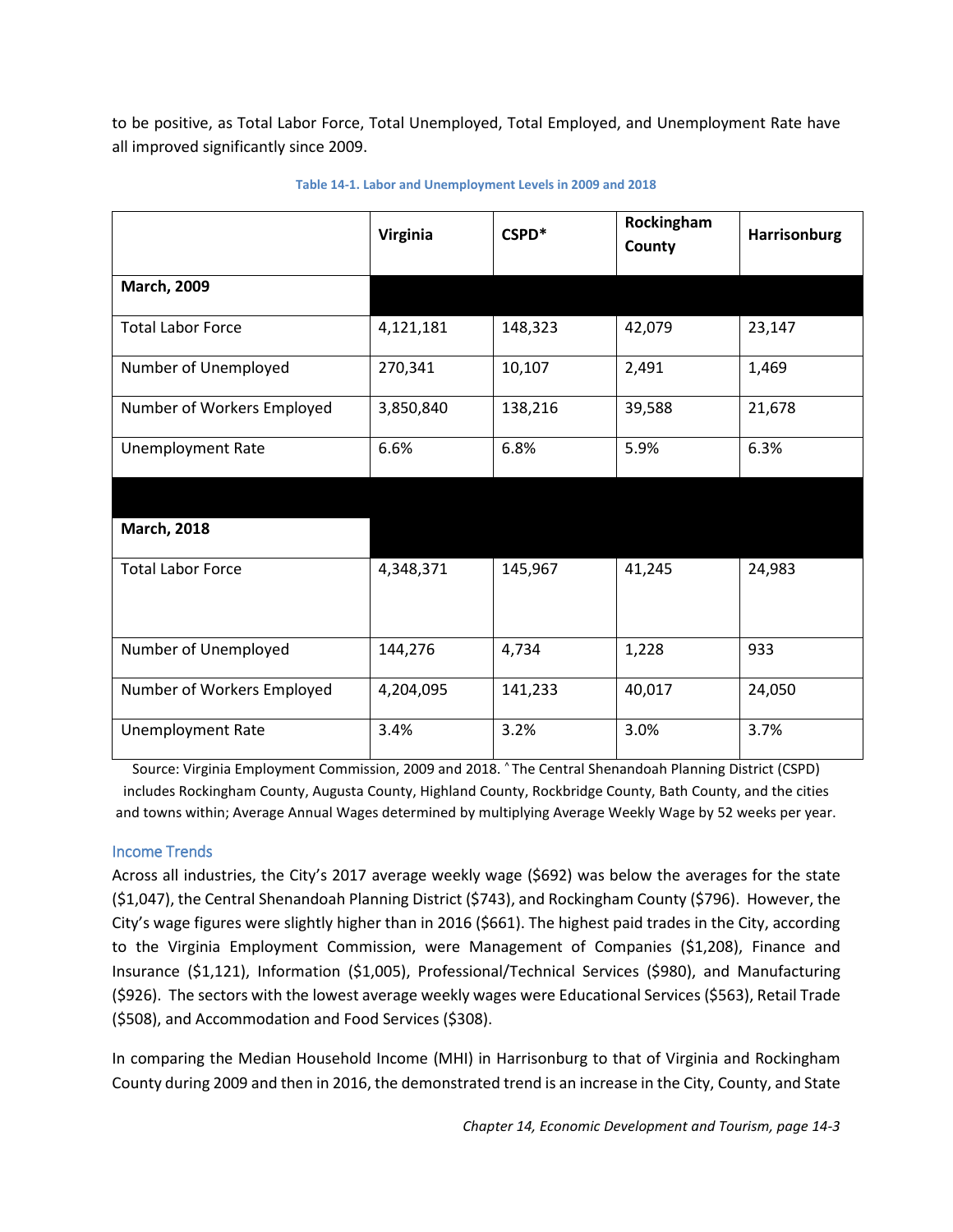- The Harrisonburg area serves as the major retail and service center in the Shenandoah Valley. The Harrisonburg retail market attracts shoppers from 20+ miles away (including West Virginia) with an estimated market population of 222,000 served.
- There are many cultural and recreational opportunities within and surrounding Harrisonburg, including but not limited to: local universities, which sponsor lectures, concerts, art exhibits, and athletic events; Downtown Harrisonburg which serves as a destination for dining, shopping and a variety of annual events; and Shenandoah National Park, George Washington National Forest; and Massanutten Four-Season Resort are less than 25 miles from Harrisonburg.
- Harrisonburg is home to James Madison University, (JMU) a public coeducational research university; Eastern Mennonite University (EMU), a private liberal arts university; and American National University, a postsecondary education institution.<sup>[1](#page-2-1)</sup> Other higher education and training providers in the area that serve Harrisonburg residents include Blue Ridge Community College, Bridgewater College, Mary Baldwin University, and the Woodrow Wilson Workforce and Rehabilitation Center. There are opportunities for the City and community organizations to partner with colleges and universities with respect to student internships, special projects, and technical assistance on governmental and environmental issues.
- Harrisonburg has a diverse economic base, which has helped insulate it from major hits during times when certain industry sectors have experienced downturns.

# <span id="page-2-0"></span>Labor

 $\overline{\phantom{a}}$ 

Harrisonburg benefits from a diverse employment base. The City is primarily supported by nonagricultural employment in the form of manufacturing, trade, tourism, retail trade, and professional services. In 2017, based on data from Emsi, the largest industry sectors by total number of jobs were accommodations and food (5,093), retail (4,836), manufacturing (2,981), healthcare (2,937), educational services (1,334), construction (1,246), wholesale trade (1,198), and professional, scientific and technical services (1,174).

In March 2018, the Virginia Employment Commission reported that the City's total number of employed workers was 24,060 and the total available workforce was 24,997. In February 2018, unemployment in the City measured 3.7%, while the Harrisonburg-Rockingham Metropolitan Statistical Area (MSA) measured 3.2% unemployment. The Harrisonburg-Rockingham MSA consistently records unemployment rates that are lower than the Virginia average. Local employers are increasingly reporting that it is getting harder to find skilled workers to fill crucial positions on their payrolls. Workforce development will continue to be an important component of Harrisonburg's overall economic development strategy.

[Table 14-1](#page-3-1) shows Harrisonburg's unemployment rate compared to that of Rockingham County, the Central Shenandoah Planning District, and Virginia. Economic trends since the Great Recession continue

<span id="page-2-1"></span><sup>&</sup>lt;sup>1</sup> Student population growth trends and projections for James Madison University and Eastern Mennonite University is found in Chapter 4, Planning Context.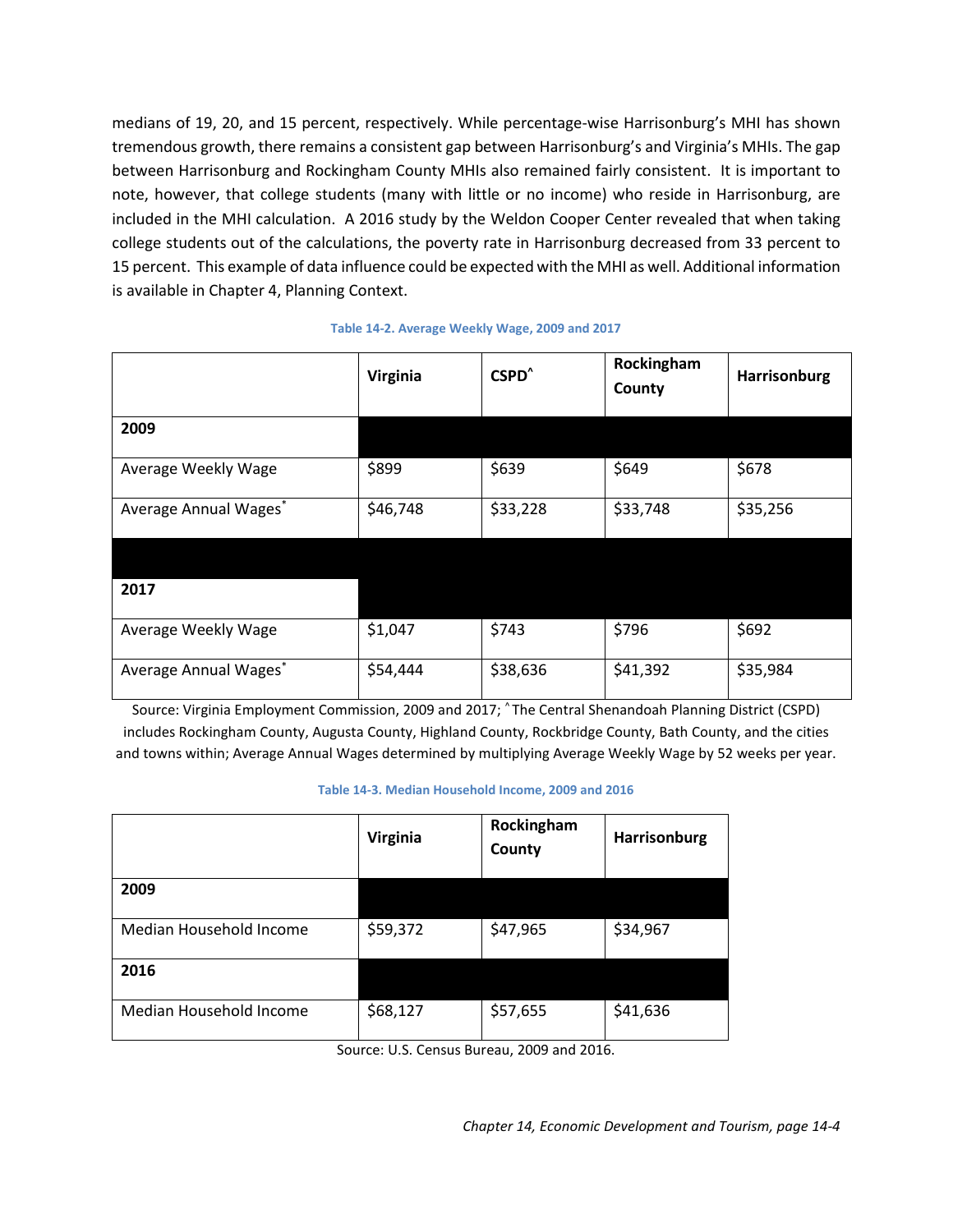to be positive, as Total Labor Force, Total Unemployed, Total Employed, and Unemployment Rate have all improved significantly since 2009.

<span id="page-3-1"></span>

|                            | Virginia  | CSPD <sup>*</sup> | Rockingham<br>County | <b>Harrisonburg</b> |
|----------------------------|-----------|-------------------|----------------------|---------------------|
| <b>March, 2009</b>         |           |                   |                      |                     |
| <b>Total Labor Force</b>   | 4,121,181 | 148,323           | 42,079               | 23,147              |
| Number of Unemployed       | 270,341   | 10,107            | 2,491                | 1,469               |
| Number of Workers Employed | 3,850,840 | 138,216           | 39,588               | 21,678              |
| <b>Unemployment Rate</b>   | 6.6%      | 6.8%              | 5.9%                 | 6.3%                |
|                            |           |                   |                      |                     |
| <b>March, 2018</b>         |           |                   |                      |                     |
| <b>Total Labor Force</b>   | 4,348,371 | 145,967           | 41,245               | 24,983              |
|                            |           |                   |                      |                     |
| Number of Unemployed       | 144,276   | 4,734             | 1,228                | 933                 |
| Number of Workers Employed | 4,204,095 | 141,233           | 40,017               | 24,050              |
| <b>Unemployment Rate</b>   | 3.4%      | 3.2%              | 3.0%                 | 3.7%                |

#### **Table 14-1. Labor and Unemployment Levels in 2009 and 2018**

Source: Virginia Employment Commission, 2009 and 2018. ^ The Central Shenandoah Planning District (CSPD) includes Rockingham County, Augusta County, Highland County, Rockbridge County, Bath County, and the cities and towns within; Average Annual Wages determined by multiplying Average Weekly Wage by 52 weeks per year.

#### <span id="page-3-0"></span>Income Trends

Across all industries, the City's 2017 average weekly wage (\$692) was below the averages for the state (\$1,047), the Central Shenandoah Planning District (\$743), and Rockingham County (\$796). However, the City's wage figures were slightly higher than in 2016 (\$661). The highest paid trades in the City, according to the Virginia Employment Commission, were Management of Companies (\$1,208), Finance and Insurance (\$1,121), Information (\$1,005), Professional/Technical Services (\$980), and Manufacturing (\$926). The sectors with the lowest average weekly wages were Educational Services (\$563), Retail Trade (\$508), and Accommodation and Food Services (\$308).

In comparing the Median Household Income (MHI) in Harrisonburg to that of Virginia and Rockingham County during 2009 and then in 2016, the demonstrated trend is an increase in the City, County, and State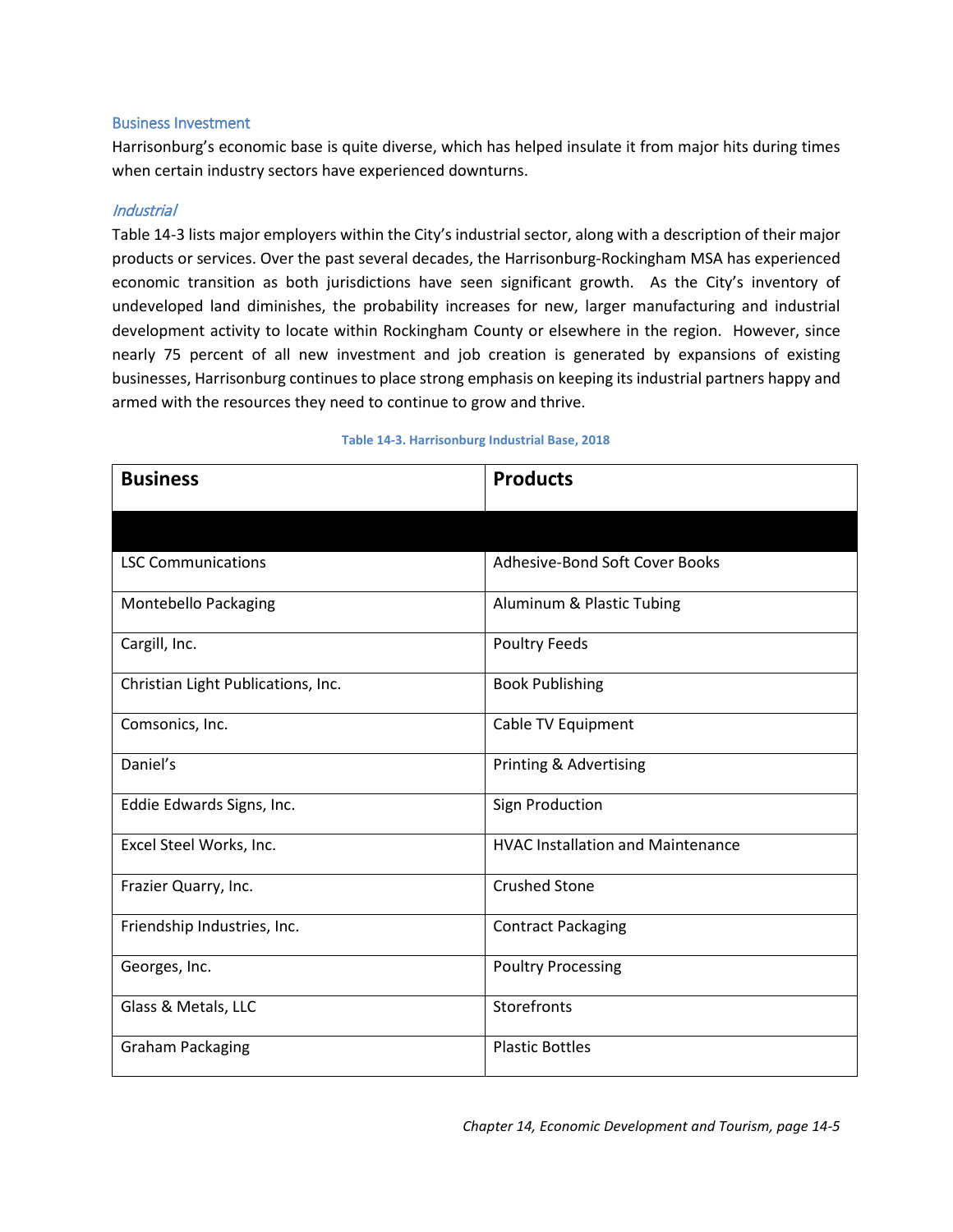medians of 19, 20, and 15 percent, respectively. While percentage-wise Harrisonburg's MHI has shown tremendous growth, there remains a consistent gap between Harrisonburg's and Virginia's MHIs. The gap between Harrisonburg and Rockingham County MHIs also remained fairly consistent. It is important to note, however, that college students (many with little or no income) who reside in Harrisonburg, are included in the MHI calculation. A 2016 study by the Weldon Cooper Center revealed that when taking college students out of the calculations, the poverty rate in Harrisonburg decreased from 33 percent to 15 percent. This example of data influence could be expected with the MHI as well. Additional information is available in Chapter 4, Planning Context.

|                       | <b>Virginia</b> | CSPD <sup>^</sup> | Rockingham<br>County | Harrisonburg |
|-----------------------|-----------------|-------------------|----------------------|--------------|
| 2009                  |                 |                   |                      |              |
| Average Weekly Wage   | \$899           | \$639             | \$649                | \$678        |
| Average Annual Wages* | \$46,748        | \$33,228          | \$33,748             | \$35,256     |
|                       |                 |                   |                      |              |
| 2017                  |                 |                   |                      |              |
| Average Weekly Wage   | \$1,047         | \$743             | \$796                | \$692        |
| Average Annual Wages* | \$54,444        | \$38,636          | \$41,392             | \$35,984     |

#### **Table 14-2. Average Weekly Wage, 2009 and 2017**

Source: Virginia Employment Commission, 2009 and 2017; ^ The Central Shenandoah Planning District (CSPD) includes Rockingham County, Augusta County, Highland County, Rockbridge County, Bath County, and the cities and towns within; Average Annual Wages determined by multiplying Average Weekly Wage by 52 weeks per year.

|                         | <b>Virginia</b> | Rockingham<br>County | Harrisonburg |
|-------------------------|-----------------|----------------------|--------------|
| 2009                    |                 |                      |              |
| Median Household Income | \$59,372        | \$47,965             | \$34,967     |
| 2016                    |                 |                      |              |
| Median Household Income | \$68,127        | \$57,655             | \$41,636     |

Source: U.S. Census Bureau, 2009 and 2016.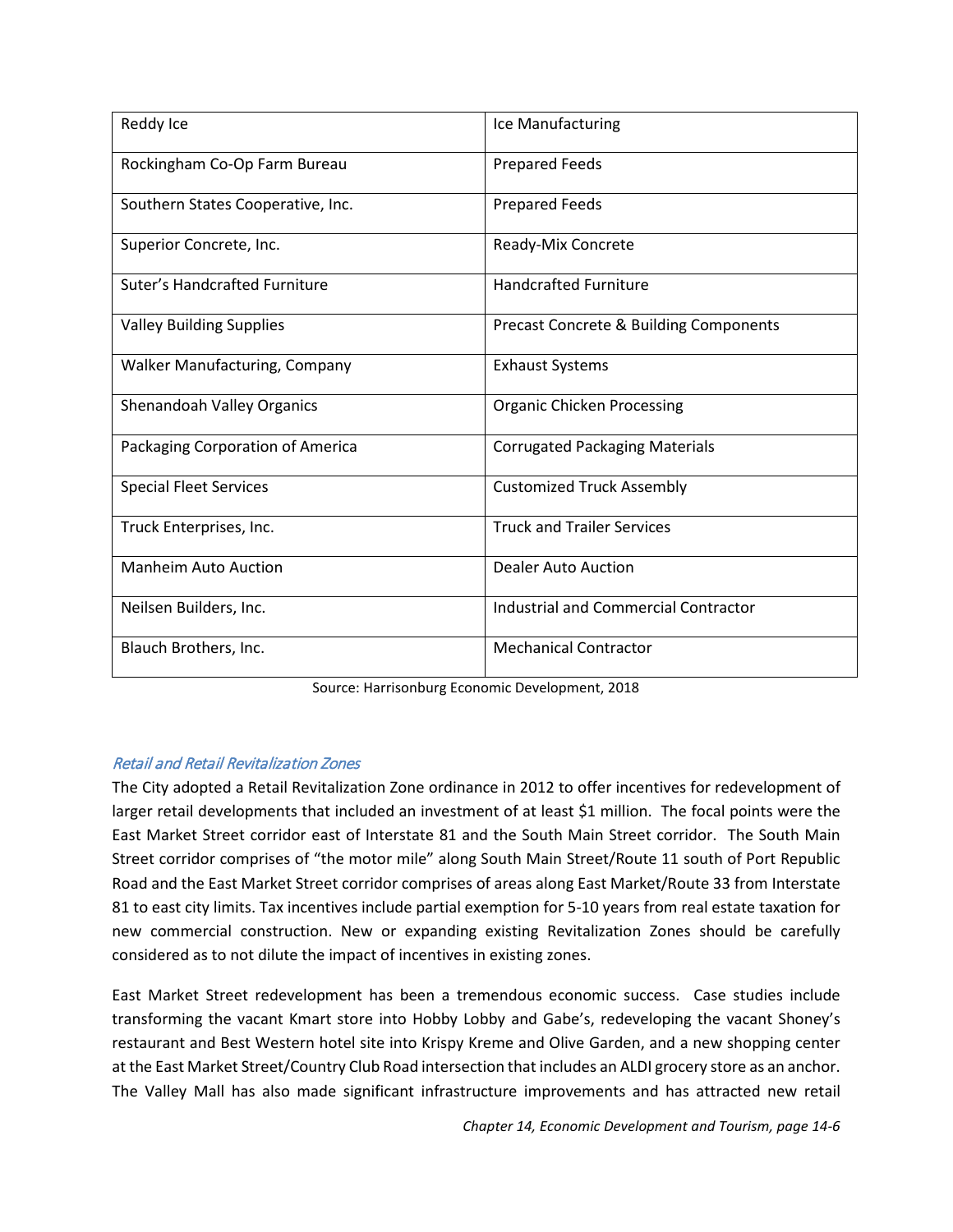#### <span id="page-5-0"></span>Business Investment

Harrisonburg's economic base is quite diverse, which has helped insulate it from major hits during times when certain industry sectors have experienced downturns.

## Industrial

[Table 14-3](#page-5-1) lists major employers within the City's industrial sector, along with a description of their major products or services. Over the past several decades, the Harrisonburg-Rockingham MSA has experienced economic transition as both jurisdictions have seen significant growth. As the City's inventory of undeveloped land diminishes, the probability increases for new, larger manufacturing and industrial development activity to locate within Rockingham County or elsewhere in the region. However, since nearly 75 percent of all new investment and job creation is generated by expansions of existing businesses, Harrisonburg continues to place strong emphasis on keeping its industrial partners happy and armed with the resources they need to continue to grow and thrive.

<span id="page-5-1"></span>

| <b>Business</b>                    | <b>Products</b>                          |
|------------------------------------|------------------------------------------|
|                                    |                                          |
| <b>LSC Communications</b>          | Adhesive-Bond Soft Cover Books           |
| Montebello Packaging               | Aluminum & Plastic Tubing                |
| Cargill, Inc.                      | <b>Poultry Feeds</b>                     |
| Christian Light Publications, Inc. | <b>Book Publishing</b>                   |
| Comsonics, Inc.                    | Cable TV Equipment                       |
| Daniel's                           | Printing & Advertising                   |
| Eddie Edwards Signs, Inc.          | Sign Production                          |
| Excel Steel Works, Inc.            | <b>HVAC Installation and Maintenance</b> |
| Frazier Quarry, Inc.               | <b>Crushed Stone</b>                     |
| Friendship Industries, Inc.        | <b>Contract Packaging</b>                |
| Georges, Inc.                      | <b>Poultry Processing</b>                |
| Glass & Metals, LLC                | Storefronts                              |
| <b>Graham Packaging</b>            | <b>Plastic Bottles</b>                   |

#### **Table 14-3. Harrisonburg Industrial Base, 2018**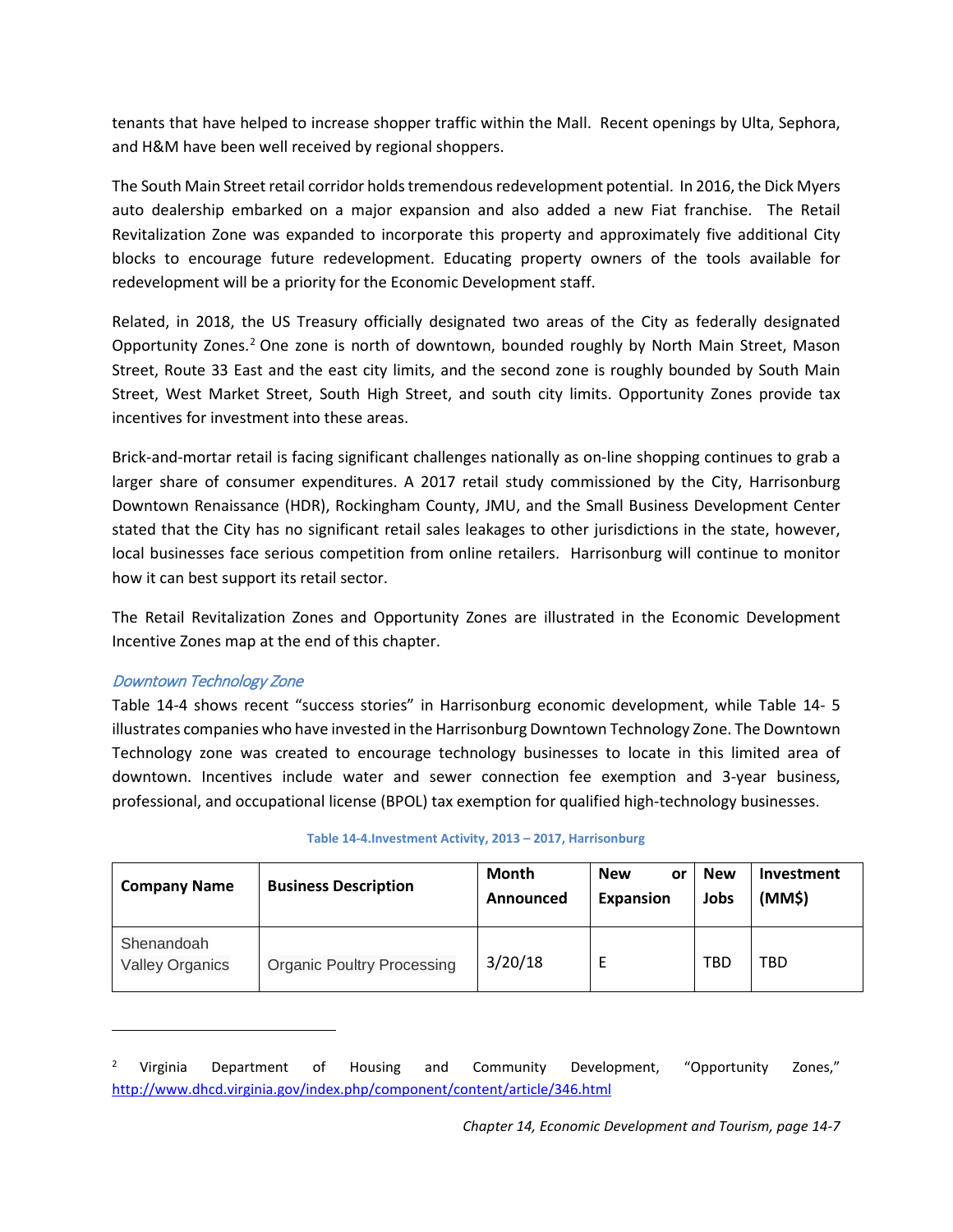| Reddy Ice                            | Ice Manufacturing                           |
|--------------------------------------|---------------------------------------------|
| Rockingham Co-Op Farm Bureau         | <b>Prepared Feeds</b>                       |
| Southern States Cooperative, Inc.    | <b>Prepared Feeds</b>                       |
| Superior Concrete, Inc.              | Ready-Mix Concrete                          |
| Suter's Handcrafted Furniture        | <b>Handcrafted Furniture</b>                |
| <b>Valley Building Supplies</b>      | Precast Concrete & Building Components      |
| <b>Walker Manufacturing, Company</b> | <b>Exhaust Systems</b>                      |
| Shenandoah Valley Organics           | <b>Organic Chicken Processing</b>           |
| Packaging Corporation of America     | <b>Corrugated Packaging Materials</b>       |
| <b>Special Fleet Services</b>        | <b>Customized Truck Assembly</b>            |
| Truck Enterprises, Inc.              | <b>Truck and Trailer Services</b>           |
| <b>Manheim Auto Auction</b>          | Dealer Auto Auction                         |
| Neilsen Builders, Inc.               | <b>Industrial and Commercial Contractor</b> |
| Blauch Brothers, Inc.                | <b>Mechanical Contractor</b>                |

Source: Harrisonburg Economic Development, 2018

# Retail and Retail Revitalization Zones

The City adopted a Retail Revitalization Zone ordinance in 2012 to offer incentives for redevelopment of larger retail developments that included an investment of at least \$1 million. The focal points were the East Market Street corridor east of Interstate 81 and the South Main Street corridor. The South Main Street corridor comprises of "the motor mile" along South Main Street/Route 11 south of Port Republic Road and the East Market Street corridor comprises of areas along East Market/Route 33 from Interstate 81 to east city limits. Tax incentives include partial exemption for 5-10 years from real estate taxation for new commercial construction. New or expanding existing Revitalization Zones should be carefully considered as to not dilute the impact of incentives in existing zones.

East Market Street redevelopment has been a tremendous economic success. Case studies include transforming the vacant Kmart store into Hobby Lobby and Gabe's, redeveloping the vacant Shoney's restaurant and Best Western hotel site into Krispy Kreme and Olive Garden, and a new shopping center at the East Market Street/Country Club Road intersection that includes an ALDI grocery store as an anchor. The Valley Mall has also made significant infrastructure improvements and has attracted new retail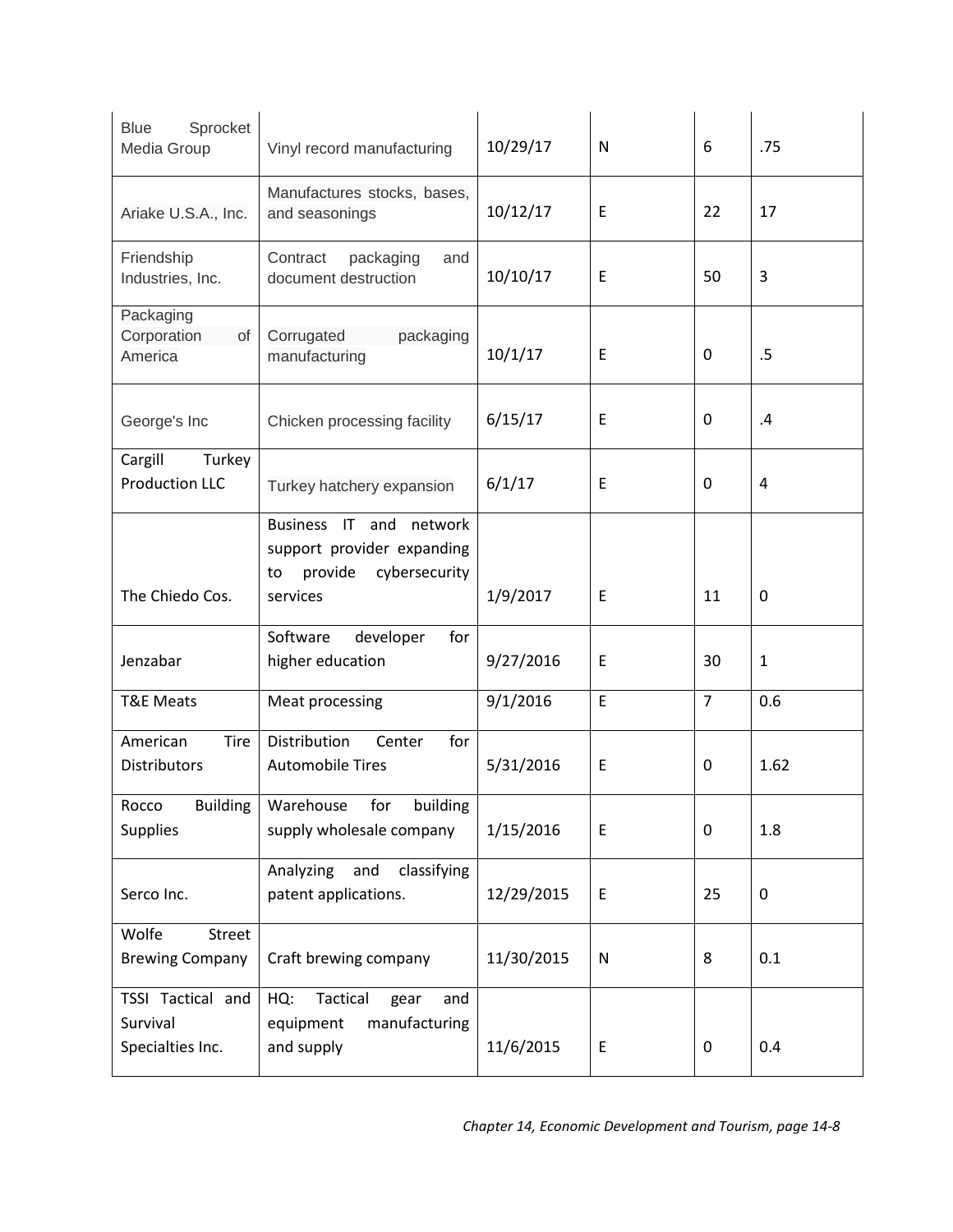tenants that have helped to increase shopper traffic within the Mall. Recent openings by Ulta, Sephora, and H&M have been well received by regional shoppers.

The South Main Street retail corridor holds tremendous redevelopment potential. In 2016, the Dick Myers auto dealership embarked on a major expansion and also added a new Fiat franchise. The Retail Revitalization Zone was expanded to incorporate this property and approximately five additional City blocks to encourage future redevelopment. Educating property owners of the tools available for redevelopment will be a priority for the Economic Development staff.

Related, in 2018, the US Treasury officially designated two areas of the City as federally designated Opportunity Zones.<sup>[2](#page-7-1)</sup> One zone is north of downtown, bounded roughly by North Main Street, Mason Street, Route 33 East and the east city limits, and the second zone is roughly bounded by South Main Street, West Market Street, South High Street, and south city limits. Opportunity Zones provide tax incentives for investment into these areas.

Brick-and-mortar retail is facing significant challenges nationally as on-line shopping continues to grab a larger share of consumer expenditures. A 2017 retail study commissioned by the City, Harrisonburg Downtown Renaissance (HDR), Rockingham County, JMU, and the Small Business Development Center stated that the City has no significant retail sales leakages to other jurisdictions in the state, however, local businesses face serious competition from online retailers. Harrisonburg will continue to monitor how it can best support its retail sector.

The Retail Revitalization Zones and Opportunity Zones are illustrated in the Economic Development Incentive Zones map at the end of this chapter.

# Downtown Technology Zone

 $\overline{\phantom{a}}$ 

[Table 14-4](#page-7-0) shows recent "success stories" in Harrisonburg economic development, while [Table 14-](#page-9-0) 5 illustrates companies who have invested in the Harrisonburg Downtown Technology Zone. The Downtown Technology zone was created to encourage technology businesses to locate in this limited area of downtown. Incentives include water and sewer connection fee exemption and 3-year business, professional, and occupational license (BPOL) tax exemption for qualified high-technology businesses.

<span id="page-7-0"></span>

| <b>Company Name</b>                  | <b>Business Description</b>       | Month<br>Announced | <b>New</b><br>or<br><b>Expansion</b> | <b>New</b><br>Jobs | Investment<br>(MM\$) |
|--------------------------------------|-----------------------------------|--------------------|--------------------------------------|--------------------|----------------------|
| Shenandoah<br><b>Valley Organics</b> | <b>Organic Poultry Processing</b> | 3/20/18            |                                      | <b>TBD</b>         | TBD                  |

#### **Table 14-4.Investment Activity, 2013 – 2017, Harrisonburg**

<span id="page-7-1"></span><sup>&</sup>lt;sup>2</sup> Virginia Department of Housing and Community Development, "Opportunity Zones," <http://www.dhcd.virginia.gov/index.php/component/content/article/346.html>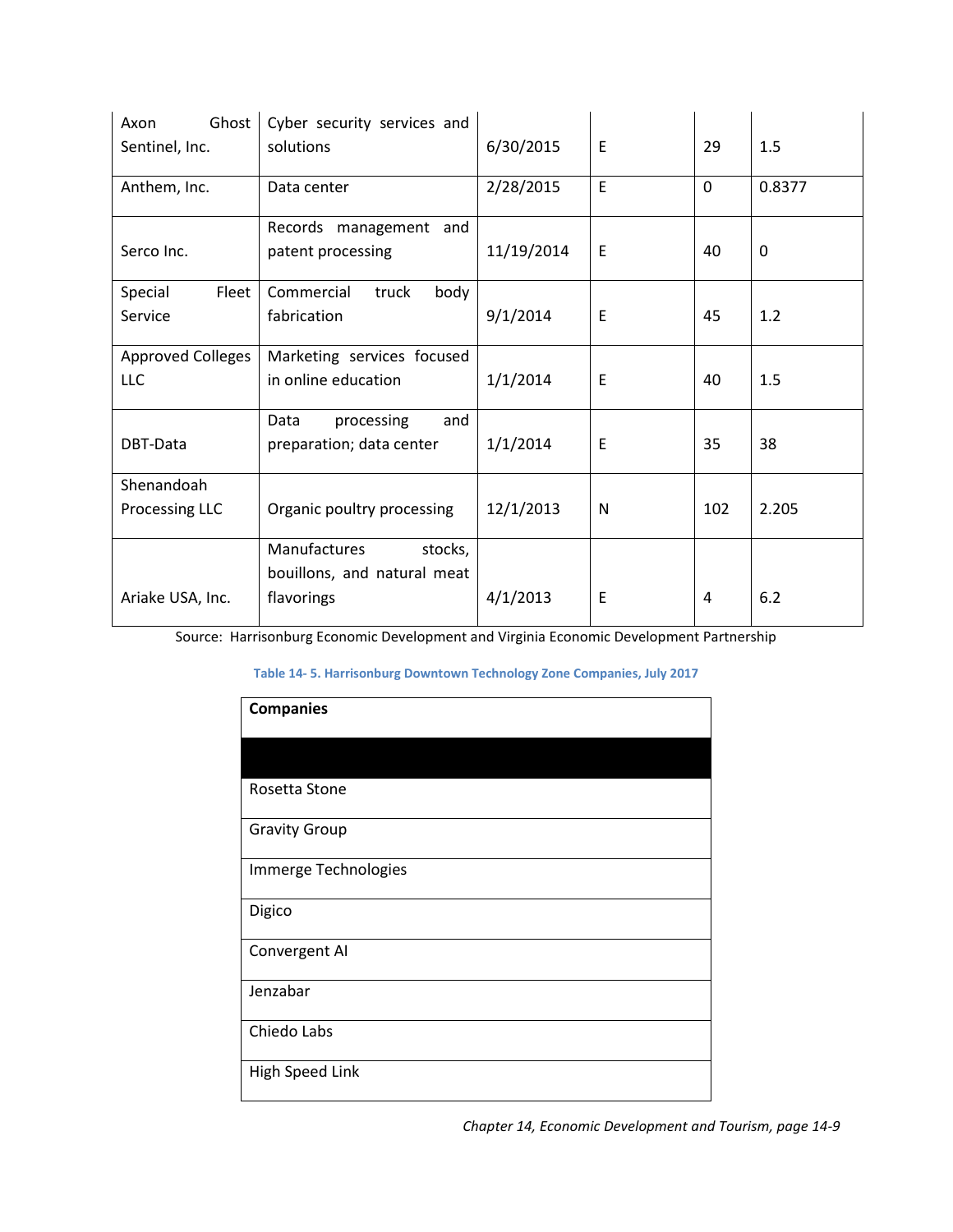| Sprocket<br><b>Blue</b><br>Media Group            | Vinyl record manufacturing                                                                    | 10/29/17   | N           | 6              | .75          |
|---------------------------------------------------|-----------------------------------------------------------------------------------------------|------------|-------------|----------------|--------------|
| Ariake U.S.A., Inc.                               | Manufactures stocks, bases,<br>and seasonings                                                 | 10/12/17   | E           | 22             | 17           |
| Friendship<br>Industries, Inc.                    | Contract<br>packaging<br>and<br>document destruction                                          | 10/10/17   | Ε           | 50             | 3            |
| Packaging<br>Corporation<br>of<br>America         | Corrugated<br>packaging<br>manufacturing                                                      | 10/1/17    | Ε           | 0              | .5           |
| George's Inc                                      | Chicken processing facility                                                                   | 6/15/17    | E           | 0              | .4           |
| Cargill<br>Turkey<br><b>Production LLC</b>        | Turkey hatchery expansion                                                                     | 6/1/17     | E           | $\pmb{0}$      | 4            |
|                                                   | Business IT<br>and<br>network<br>support provider expanding<br>provide<br>cybersecurity<br>to |            |             |                |              |
| The Chiedo Cos.                                   | services                                                                                      | 1/9/2017   | Ε           | 11             | 0            |
| Jenzabar                                          | Software<br>developer<br>for<br>higher education                                              | 9/27/2016  | E           | 30             | $\mathbf{1}$ |
| <b>T&amp;E Meats</b>                              | Meat processing                                                                               | 9/1/2016   | $\mathsf E$ | $\overline{7}$ | 0.6          |
| American<br>Tire<br><b>Distributors</b>           | Distribution<br>for<br>Center<br><b>Automobile Tires</b>                                      | 5/31/2016  | E           | 0              | 1.62         |
| <b>Building</b><br>Rocco<br><b>Supplies</b>       | building<br>Warehouse<br>for<br>supply wholesale company                                      | 1/15/2016  | $\mathsf E$ | 0              | 1.8          |
| Serco Inc.                                        | Analyzing<br>and<br>classifying<br>patent applications.                                       | 12/29/2015 | $\mathsf E$ | 25             | $\pmb{0}$    |
| Wolfe<br>Street<br><b>Brewing Company</b>         | Craft brewing company                                                                         | 11/30/2015 | N           | 8              | 0.1          |
| TSSI Tactical and<br>Survival<br>Specialties Inc. | Tactical<br>HQ:<br>gear<br>and<br>manufacturing<br>equipment<br>and supply                    | 11/6/2015  | E           | 0              | 0.4          |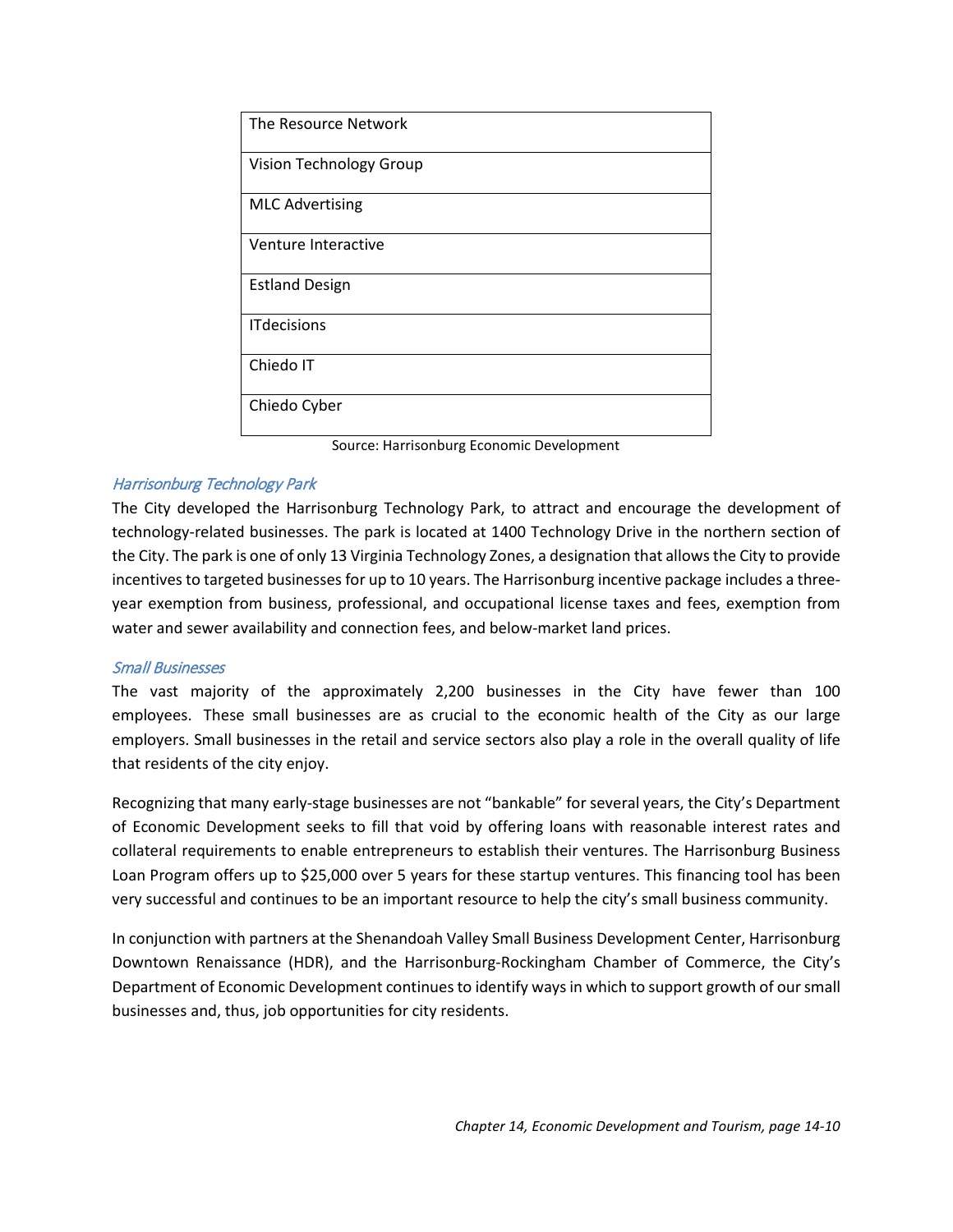| Ghost<br>Axon            | Cyber security services and |            |   |             |              |
|--------------------------|-----------------------------|------------|---|-------------|--------------|
| Sentinel, Inc.           | solutions                   | 6/30/2015  | E | 29          | 1.5          |
| Anthem, Inc.             | Data center                 | 2/28/2015  | E | $\mathbf 0$ | 0.8377       |
|                          | Records management and      |            |   |             |              |
| Serco Inc.               | patent processing           | 11/19/2014 | E | 40          | $\mathbf{0}$ |
| Fleet<br>Special         | Commercial<br>truck<br>body |            |   |             |              |
| Service                  | fabrication                 | 9/1/2014   | E | 45          | 1.2          |
| <b>Approved Colleges</b> | Marketing services focused  |            |   |             |              |
| <b>LLC</b>               | in online education         | 1/1/2014   | Е | 40          | 1.5          |
|                          | processing<br>Data<br>and   |            |   |             |              |
| DBT-Data                 | preparation; data center    | 1/1/2014   | E | 35          | 38           |
| Shenandoah               |                             |            |   |             |              |
| Processing LLC           | Organic poultry processing  | 12/1/2013  | N | 102         | 2.205        |
|                          | Manufactures<br>stocks,     |            |   |             |              |
|                          | bouillons, and natural meat |            |   |             |              |
| Ariake USA, Inc.         | flavorings                  | 4/1/2013   | E | 4           | 6.2          |

<span id="page-9-0"></span>Source: Harrisonburg Economic Development and Virginia Economic Development Partnership

#### **Table 14- 5. Harrisonburg Downtown Technology Zone Companies, July 2017**

| <b>Companies</b>     |
|----------------------|
|                      |
| Rosetta Stone        |
| <b>Gravity Group</b> |
| Immerge Technologies |
| Digico               |
| Convergent AI        |
| Jenzabar             |
| Chiedo Labs          |
| High Speed Link      |

*Chapter 14, Economic Development and Tourism, page 14-9*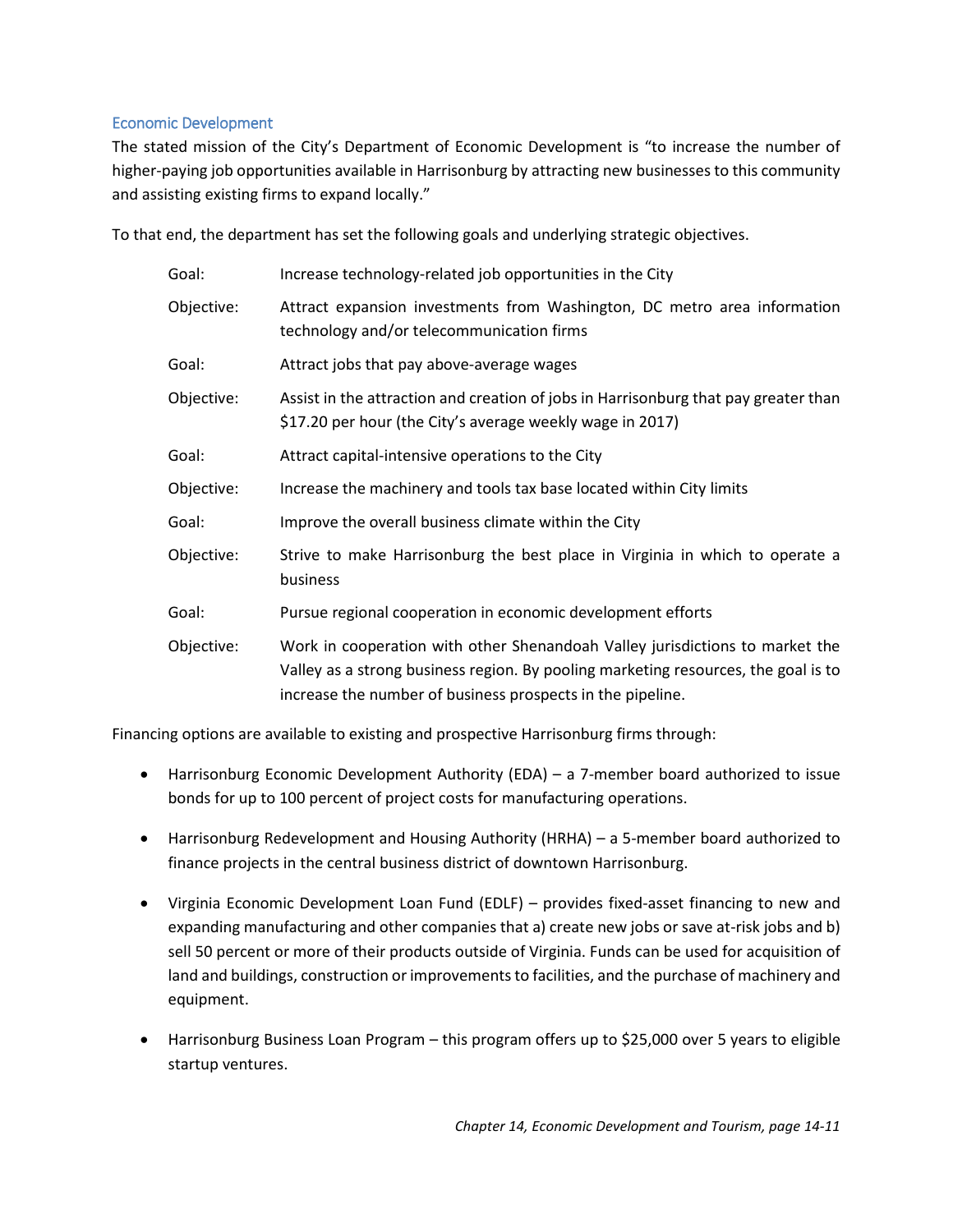| The Resource Network    |
|-------------------------|
| Vision Technology Group |
| <b>MLC Advertising</b>  |
| Venture Interactive     |
| <b>Estland Design</b>   |
| <b>ITdecisions</b>      |
| Chiedo IT               |
| Chiedo Cyber            |

Source: Harrisonburg Economic Development

## Harrisonburg Technology Park

The City developed the Harrisonburg Technology Park, to attract and encourage the development of technology-related businesses. The park is located at 1400 Technology Drive in the northern section of the City. The park is one of only 13 Virginia Technology Zones, a designation that allows the City to provide incentives to targeted businesses for up to 10 years. The Harrisonburg incentive package includes a threeyear exemption from business, professional, and occupational license taxes and fees, exemption from water and sewer availability and connection fees, and below-market land prices.

#### Small Businesses

The vast majority of the approximately 2,200 businesses in the City have fewer than 100 employees. These small businesses are as crucial to the economic health of the City as our large employers. Small businesses in the retail and service sectors also play a role in the overall quality of life that residents of the city enjoy.

Recognizing that many early-stage businesses are not "bankable" for several years, the City's Department of Economic Development seeks to fill that void by offering loans with reasonable interest rates and collateral requirements to enable entrepreneurs to establish their ventures. The Harrisonburg Business Loan Program offers up to \$25,000 over 5 years for these startup ventures. This financing tool has been very successful and continues to be an important resource to help the city's small business community.

In conjunction with partners at the Shenandoah Valley Small Business Development Center, Harrisonburg Downtown Renaissance (HDR), and the Harrisonburg-Rockingham Chamber of Commerce, the City's Department of Economic Development continues to identify ways in which to support growth of our small businesses and, thus, job opportunities for city residents.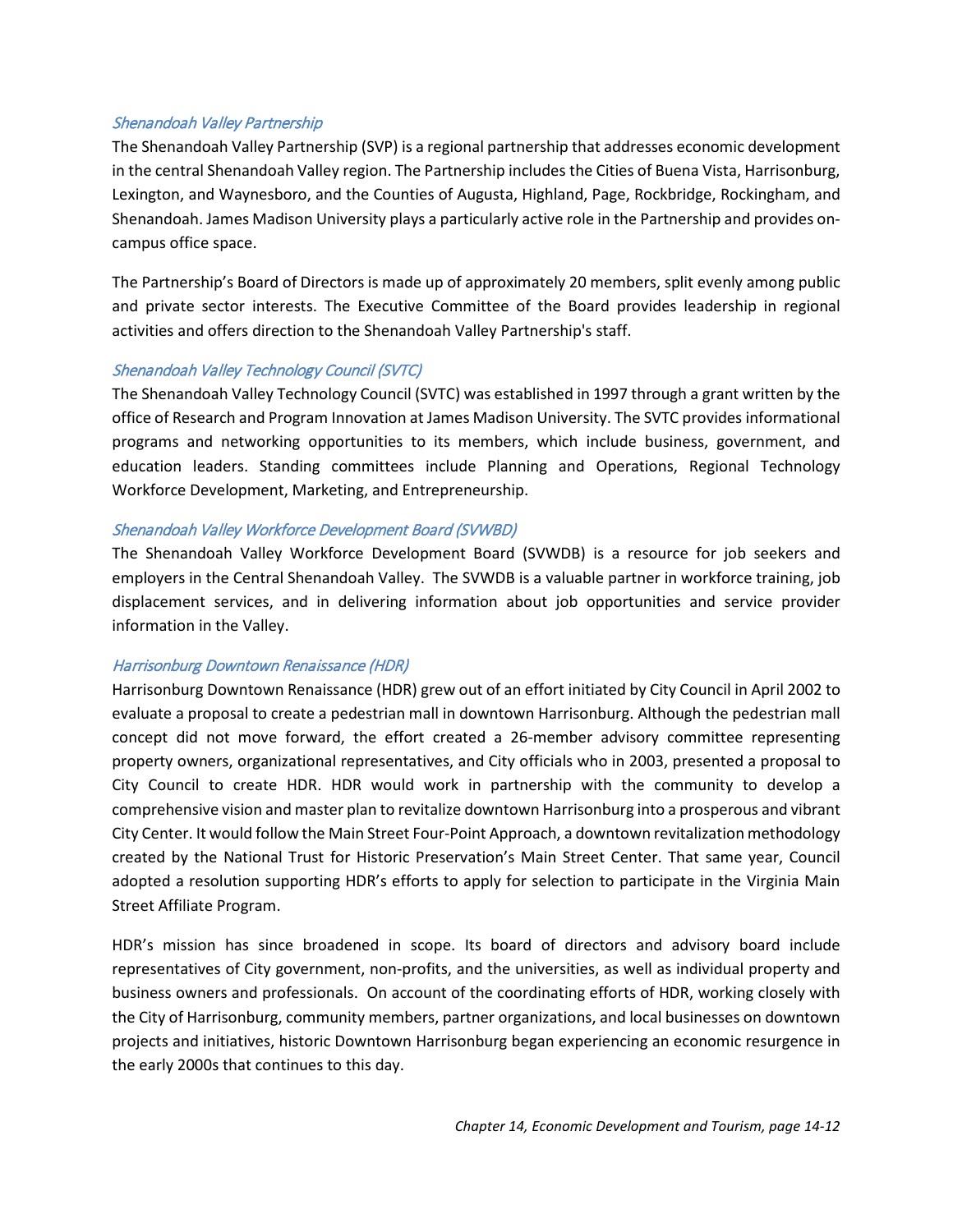# <span id="page-11-0"></span>Economic Development

The stated mission of the City's Department of Economic Development is "to increase the number of higher-paying job opportunities available in Harrisonburg by attracting new businesses to this community and assisting existing firms to expand locally."

To that end, the department has set the following goals and underlying strategic objectives.

| Increase technology-related job opportunities in the City                                                                                                                                                                        |
|----------------------------------------------------------------------------------------------------------------------------------------------------------------------------------------------------------------------------------|
| Attract expansion investments from Washington, DC metro area information<br>technology and/or telecommunication firms                                                                                                            |
| Attract jobs that pay above-average wages                                                                                                                                                                                        |
| Assist in the attraction and creation of jobs in Harrisonburg that pay greater than<br>\$17.20 per hour (the City's average weekly wage in 2017)                                                                                 |
| Attract capital-intensive operations to the City                                                                                                                                                                                 |
| Increase the machinery and tools tax base located within City limits                                                                                                                                                             |
| Improve the overall business climate within the City                                                                                                                                                                             |
| Strive to make Harrisonburg the best place in Virginia in which to operate a<br>business                                                                                                                                         |
| Pursue regional cooperation in economic development efforts                                                                                                                                                                      |
| Work in cooperation with other Shenandoah Valley jurisdictions to market the<br>Valley as a strong business region. By pooling marketing resources, the goal is to<br>increase the number of business prospects in the pipeline. |
|                                                                                                                                                                                                                                  |

Financing options are available to existing and prospective Harrisonburg firms through:

- Harrisonburg Economic Development Authority (EDA) a 7-member board authorized to issue bonds for up to 100 percent of project costs for manufacturing operations.
- Harrisonburg Redevelopment and Housing Authority (HRHA) a 5-member board authorized to finance projects in the central business district of downtown Harrisonburg.
- Virginia Economic Development Loan Fund (EDLF) provides fixed-asset financing to new and expanding manufacturing and other companies that a) create new jobs or save at-risk jobs and b) sell 50 percent or more of their products outside of Virginia. Funds can be used for acquisition of land and buildings, construction or improvements to facilities, and the purchase of machinery and equipment.
- Harrisonburg Business Loan Program this program offers up to \$25,000 over 5 years to eligible startup ventures.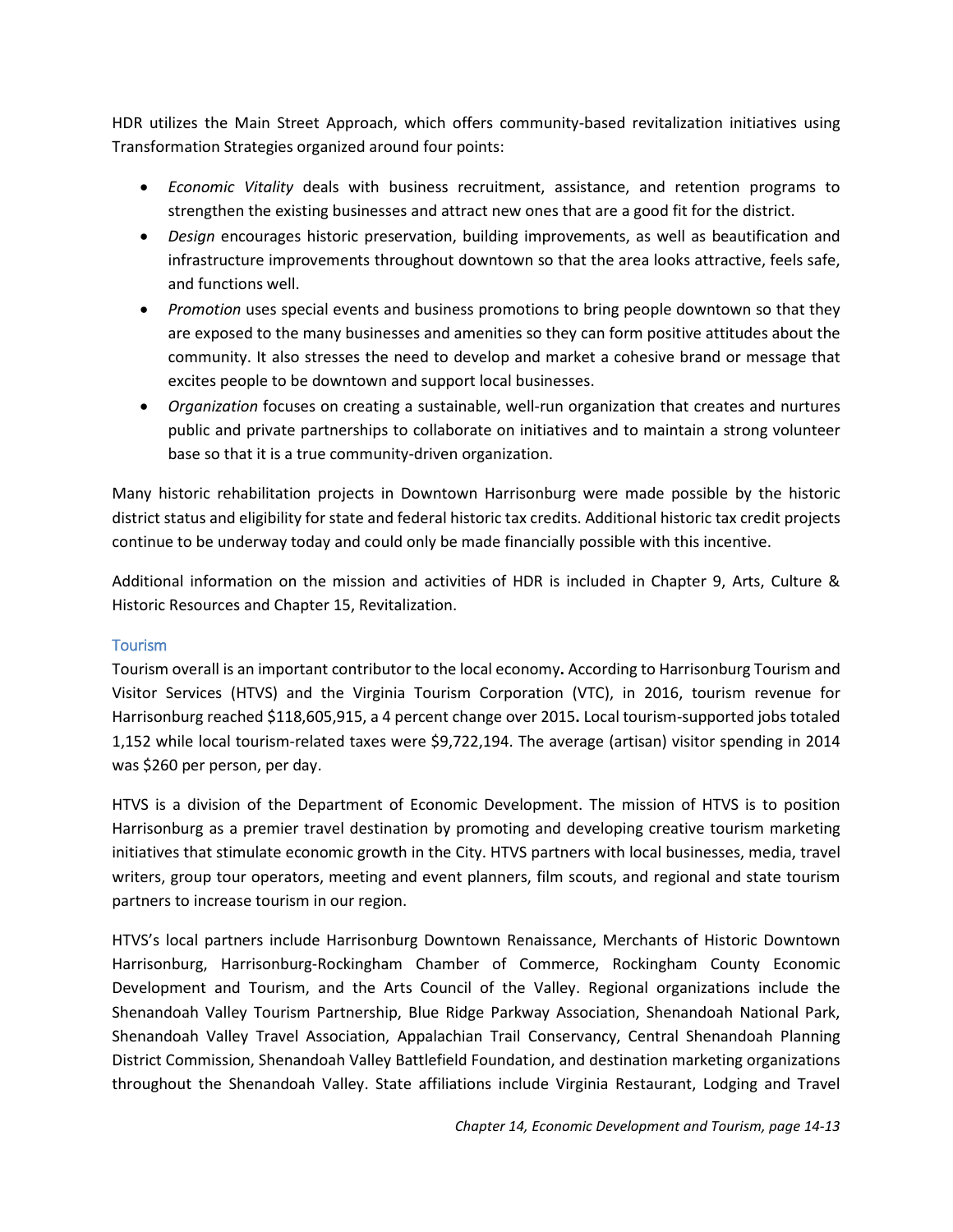## Shenandoah Valley Partnership

The Shenandoah Valley Partnership (SVP) is a regional partnership that addresses economic development in the central Shenandoah Valley region. The Partnership includes the Cities of Buena Vista, Harrisonburg, Lexington, and Waynesboro, and the Counties of Augusta, Highland, Page, Rockbridge, Rockingham, and Shenandoah. James Madison University plays a particularly active role in the Partnership and provides oncampus office space.

The Partnership's Board of Directors is made up of approximately 20 members, split evenly among public and private sector interests. The Executive Committee of the Board provides leadership in regional activities and offers direction to the Shenandoah Valley Partnership's staff.

## Shenandoah Valley Technology Council (SVTC)

The Shenandoah Valley Technology Council (SVTC) was established in 1997 through a grant written by the office of Research and Program Innovation at James Madison University. The SVTC provides informational programs and networking opportunities to its members, which include business, government, and education leaders. Standing committees include Planning and Operations, Regional Technology Workforce Development, Marketing, and Entrepreneurship.

## Shenandoah Valley Workforce Development Board (SVWBD)

The Shenandoah Valley Workforce Development Board (SVWDB) is a resource for job seekers and employers in the Central Shenandoah Valley. The SVWDB is a valuable partner in workforce training, job displacement services, and in delivering information about job opportunities and service provider information in the Valley.

# Harrisonburg Downtown Renaissance (HDR)

Harrisonburg Downtown Renaissance (HDR) grew out of an effort initiated by City Council in April 2002 to evaluate a proposal to create a pedestrian mall in downtown Harrisonburg. Although the pedestrian mall concept did not move forward, the effort created a 26-member advisory committee representing property owners, organizational representatives, and City officials who in 2003, presented a proposal to City Council to create HDR. HDR would work in partnership with the community to develop a comprehensive vision and master plan to revitalize downtown Harrisonburg into a prosperous and vibrant City Center. It would follow the Main Street Four-Point Approach, a downtown revitalization methodology created by the National Trust for Historic Preservation's Main Street Center. That same year, Council adopted a resolution supporting HDR's efforts to apply for selection to participate in the Virginia Main Street Affiliate Program.

HDR's mission has since broadened in scope. Its board of directors and advisory board include representatives of City government, non-profits, and the universities, as well as individual property and business owners and professionals. On account of the coordinating efforts of HDR, working closely with the City of Harrisonburg, community members, partner organizations, and local businesses on downtown projects and initiatives, historic Downtown Harrisonburg began experiencing an economic resurgence in the early 2000s that continues to this day.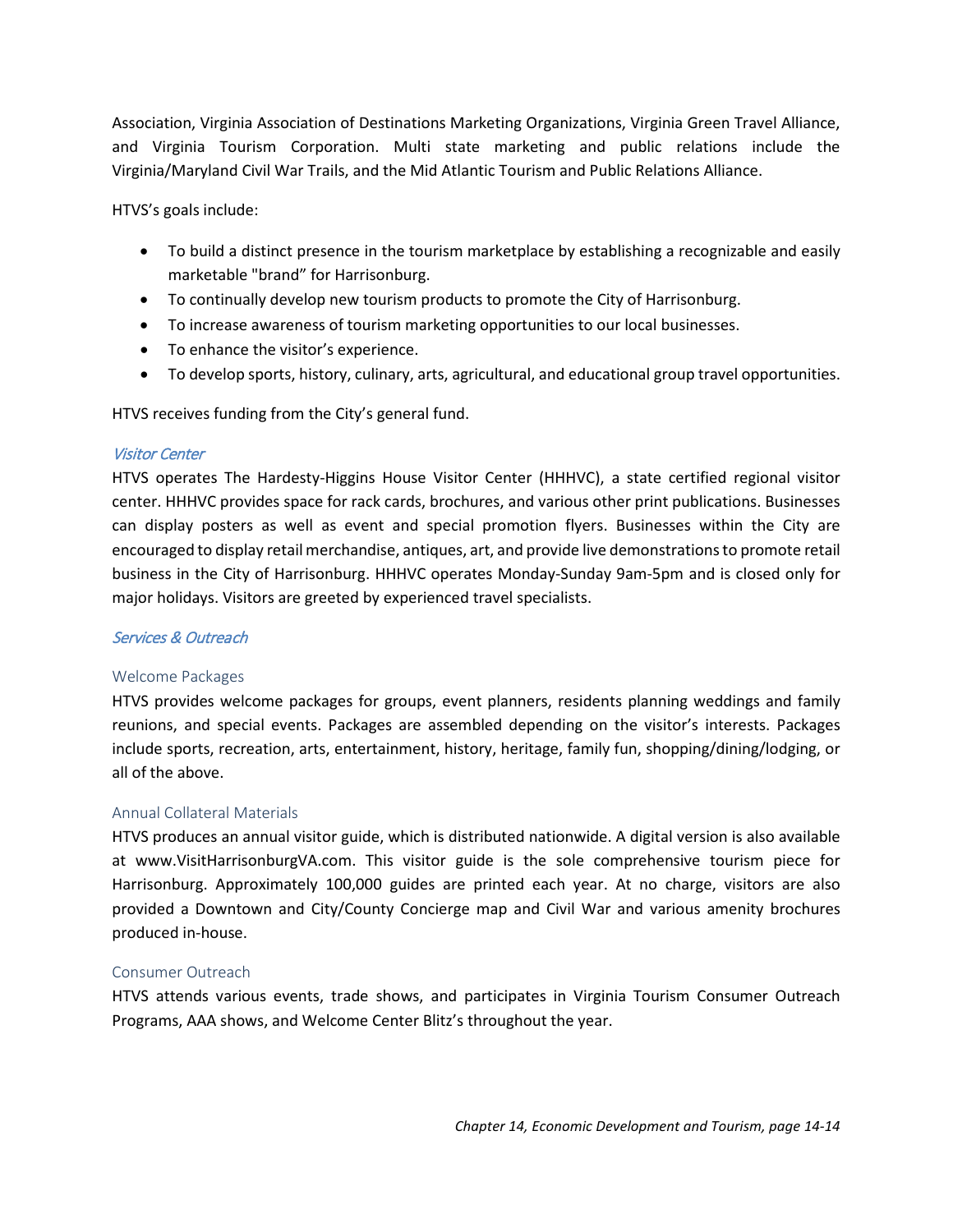HDR utilizes the Main Street Approach, which offers community-based revitalization initiatives using Transformation Strategies organized around four points:

- *Economic Vitality* deals with business recruitment, assistance, and retention programs to strengthen the existing businesses and attract new ones that are a good fit for the district.
- *Design* encourages historic preservation, building improvements, as well as beautification and infrastructure improvements throughout downtown so that the area looks attractive, feels safe, and functions well.
- *Promotion* uses special events and business promotions to bring people downtown so that they are exposed to the many businesses and amenities so they can form positive attitudes about the community. It also stresses the need to develop and market a cohesive brand or message that excites people to be downtown and support local businesses.
- *Organization* focuses on creating a sustainable, well-run organization that creates and nurtures public and private partnerships to collaborate on initiatives and to maintain a strong volunteer base so that it is a true community-driven organization.

Many historic rehabilitation projects in Downtown Harrisonburg were made possible by the historic district status and eligibility for state and federal historic tax credits. Additional historic tax credit projects continue to be underway today and could only be made financially possible with this incentive.

Additional information on the mission and activities of HDR is included in Chapter 9, Arts, Culture & Historic Resources and Chapter 15, Revitalization.

# <span id="page-13-0"></span>**Tourism**

Tourism overall is an important contributor to the local economy**.** According to Harrisonburg Tourism and Visitor Services (HTVS) and the Virginia Tourism Corporation (VTC), in 2016, tourism revenue for Harrisonburg reached \$118,605,915, a 4 percent change over 2015**.** Local tourism-supported jobs totaled 1,152 while local tourism-related taxes were \$9,722,194. The average (artisan) visitor spending in 2014 was \$260 per person, per day.

HTVS is a division of the Department of Economic Development. The mission of HTVS is to position Harrisonburg as a premier travel destination by promoting and developing creative tourism marketing initiatives that stimulate economic growth in the City. HTVS partners with local businesses, media, travel writers, group tour operators, meeting and event planners, film scouts, and regional and state tourism partners to increase tourism in our region.

HTVS's local partners include Harrisonburg Downtown Renaissance, Merchants of Historic Downtown Harrisonburg, Harrisonburg-Rockingham Chamber of Commerce, Rockingham County Economic Development and Tourism, and the Arts Council of the Valley. Regional organizations include the Shenandoah Valley Tourism Partnership, Blue Ridge Parkway Association, Shenandoah National Park, Shenandoah Valley Travel Association, Appalachian Trail Conservancy, Central Shenandoah Planning District Commission, Shenandoah Valley Battlefield Foundation, and destination marketing organizations throughout the Shenandoah Valley. State affiliations include Virginia Restaurant, Lodging and Travel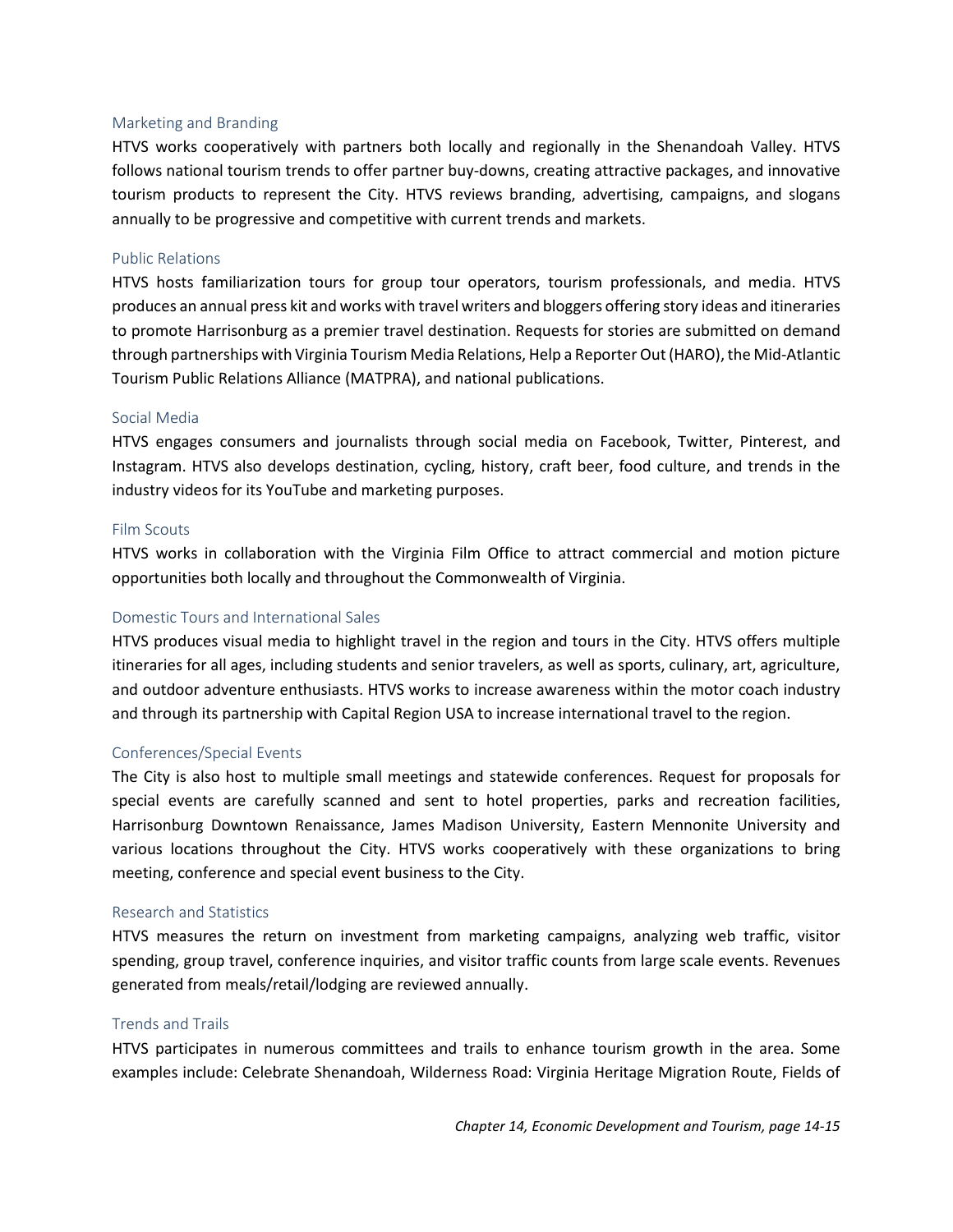Association, Virginia Association of Destinations Marketing Organizations, Virginia Green Travel Alliance, and Virginia Tourism Corporation. Multi state marketing and public relations include the Virginia/Maryland Civil War Trails, and the Mid Atlantic Tourism and Public Relations Alliance.

HTVS's goals include:

- To build a distinct presence in the tourism marketplace by establishing a recognizable and easily marketable "brand" for Harrisonburg.
- To continually develop new tourism products to promote the City of Harrisonburg.
- To increase awareness of tourism marketing opportunities to our local businesses.
- To enhance the visitor's experience.
- To develop sports, history, culinary, arts, agricultural, and educational group travel opportunities.

HTVS receives funding from the City's general fund.

#### Visitor Center

HTVS operates The Hardesty-Higgins House Visitor Center (HHHVC), a state certified regional visitor center. HHHVC provides space for rack cards, brochures, and various other print publications. Businesses can display posters as well as event and special promotion flyers. Businesses within the City are encouraged to display retail merchandise, antiques, art, and provide live demonstrations to promote retail business in the City of Harrisonburg. HHHVC operates Monday-Sunday 9am-5pm and is closed only for major holidays. Visitors are greeted by experienced travel specialists.

# Services & Outreach

#### Welcome Packages

HTVS provides welcome packages for groups, event planners, residents planning weddings and family reunions, and special events. Packages are assembled depending on the visitor's interests. Packages include sports, recreation, arts, entertainment, history, heritage, family fun, shopping/dining/lodging, or all of the above.

#### Annual Collateral Materials

HTVS produces an annual visitor guide, which is distributed nationwide. A digital version is also available at www.VisitHarrisonburgVA.com. This visitor guide is the sole comprehensive tourism piece for Harrisonburg. Approximately 100,000 guides are printed each year. At no charge, visitors are also provided a Downtown and City/County Concierge map and Civil War and various amenity brochures produced in-house.

#### Consumer Outreach

HTVS attends various events, trade shows, and participates in Virginia Tourism Consumer Outreach Programs, AAA shows, and Welcome Center Blitz's throughout the year.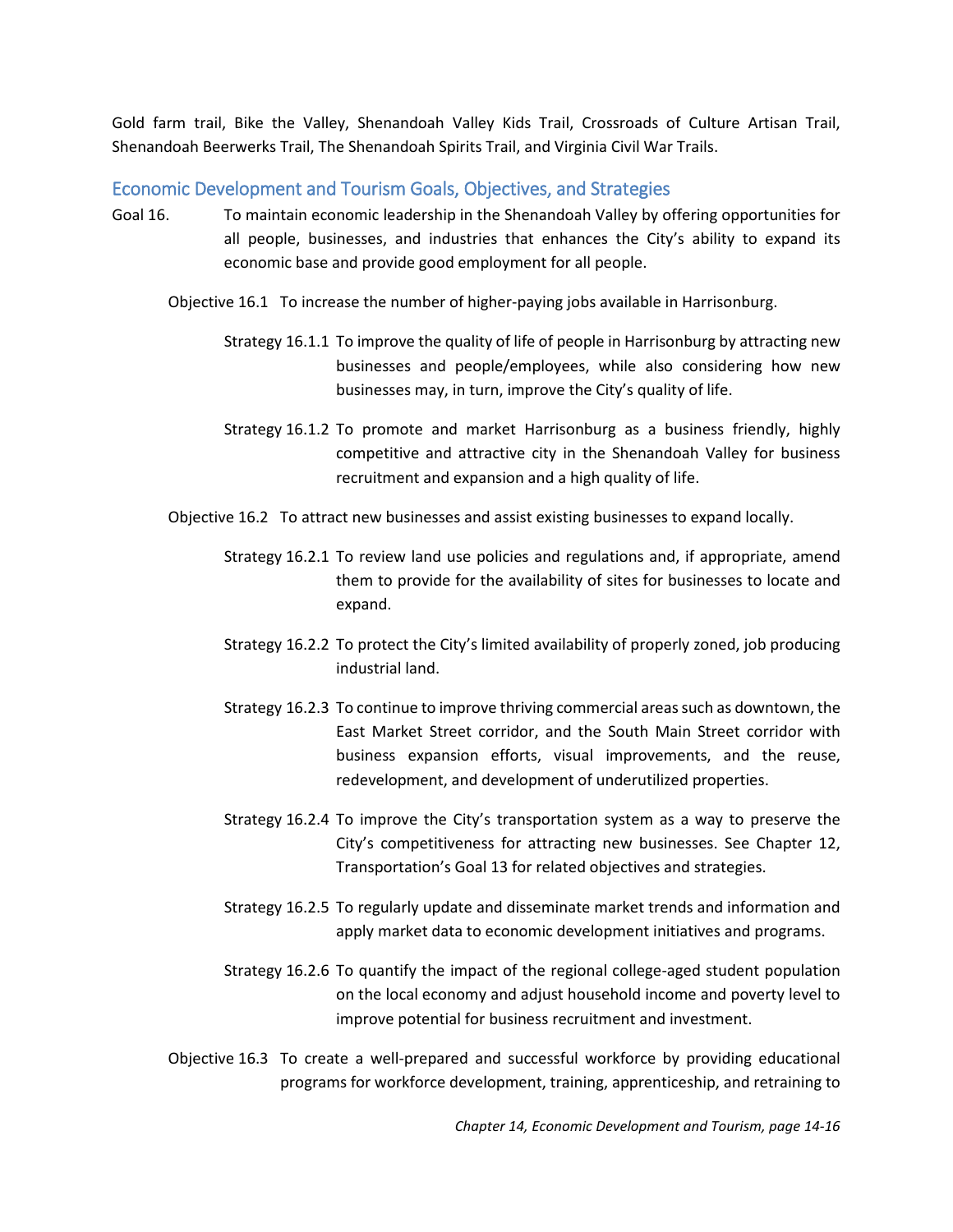#### Marketing and Branding

HTVS works cooperatively with partners both locally and regionally in the Shenandoah Valley. HTVS follows national tourism trends to offer partner buy-downs, creating attractive packages, and innovative tourism products to represent the City. HTVS reviews branding, advertising, campaigns, and slogans annually to be progressive and competitive with current trends and markets.

#### Public Relations

HTVS hosts familiarization tours for group tour operators, tourism professionals, and media. HTVS produces an annual press kit and works with travel writers and bloggers offering story ideas and itineraries to promote Harrisonburg as a premier travel destination. Requests for stories are submitted on demand through partnerships with Virginia Tourism Media Relations, Help a Reporter Out (HARO), the Mid-Atlantic Tourism Public Relations Alliance (MATPRA), and national publications.

#### Social Media

HTVS engages consumers and journalists through social media on Facebook, Twitter, Pinterest, and Instagram. HTVS also develops destination, cycling, history, craft beer, food culture, and trends in the industry videos for its YouTube and marketing purposes.

#### Film Scouts

HTVS works in collaboration with the Virginia Film Office to attract commercial and motion picture opportunities both locally and throughout the Commonwealth of Virginia.

#### Domestic Tours and International Sales

HTVS produces visual media to highlight travel in the region and tours in the City. HTVS offers multiple itineraries for all ages, including students and senior travelers, as well as sports, culinary, art, agriculture, and outdoor adventure enthusiasts. HTVS works to increase awareness within the motor coach industry and through its partnership with Capital Region USA to increase international travel to the region.

#### Conferences/Special Events

The City is also host to multiple small meetings and statewide conferences. Request for proposals for special events are carefully scanned and sent to hotel properties, parks and recreation facilities, Harrisonburg Downtown Renaissance, James Madison University, Eastern Mennonite University and various locations throughout the City. HTVS works cooperatively with these organizations to bring meeting, conference and special event business to the City.

#### Research and Statistics

HTVS measures the return on investment from marketing campaigns, analyzing web traffic, visitor spending, group travel, conference inquiries, and visitor traffic counts from large scale events. Revenues generated from meals/retail/lodging are reviewed annually.

#### Trends and Trails

HTVS participates in numerous committees and trails to enhance tourism growth in the area. Some examples include: Celebrate Shenandoah, Wilderness Road: Virginia Heritage Migration Route, Fields of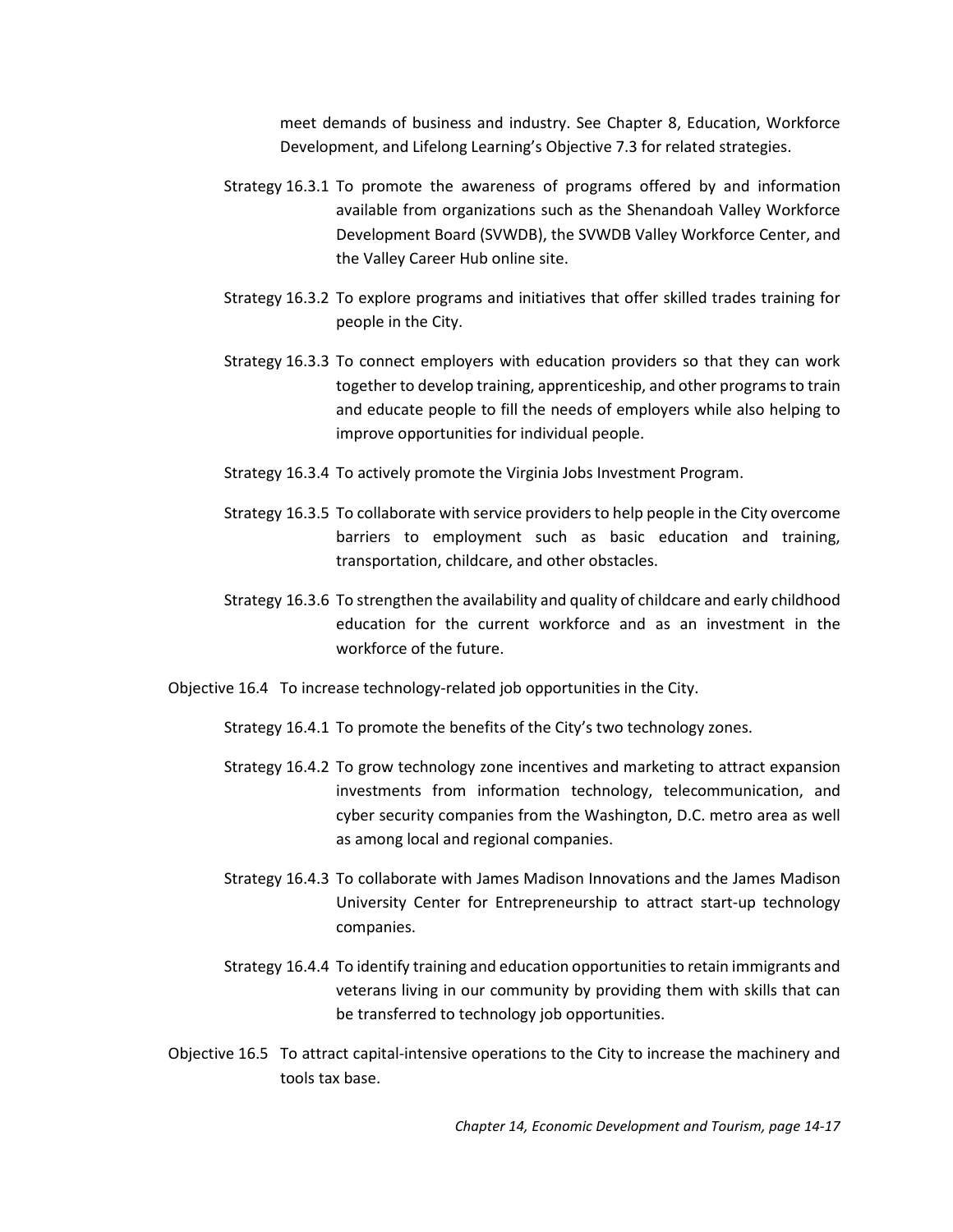Gold farm trail, Bike the Valley, Shenandoah Valley Kids Trail, Crossroads of Culture Artisan Trail, Shenandoah Beerwerks Trail, The Shenandoah Spirits Trail, and Virginia Civil War Trails.

#### <span id="page-16-0"></span>Economic Development and Tourism Goals, Objectives, and Strategies

- Goal 16. To maintain economic leadership in the Shenandoah Valley by offering opportunities for all people, businesses, and industries that enhances the City's ability to expand its economic base and provide good employment for all people.
	- Objective 16.1 To increase the number of higher-paying jobs available in Harrisonburg.
		- Strategy 16.1.1 To improve the quality of life of people in Harrisonburg by attracting new businesses and people/employees, while also considering how new businesses may, in turn, improve the City's quality of life.
		- Strategy 16.1.2 To promote and market Harrisonburg as a business friendly, highly competitive and attractive city in the Shenandoah Valley for business recruitment and expansion and a high quality of life.
	- Objective 16.2 To attract new businesses and assist existing businesses to expand locally.
		- Strategy 16.2.1 To review land use policies and regulations and, if appropriate, amend them to provide for the availability of sites for businesses to locate and expand.
		- Strategy 16.2.2 To protect the City's limited availability of properly zoned, job producing industrial land.
		- Strategy 16.2.3 To continue to improve thriving commercial areas such as downtown, the East Market Street corridor, and the South Main Street corridor with business expansion efforts, visual improvements, and the reuse, redevelopment, and development of underutilized properties.
		- Strategy 16.2.4 To improve the City's transportation system as a way to preserve the City's competitiveness for attracting new businesses. See Chapter 12, Transportation's Goal 13 for related objectives and strategies.
		- Strategy 16.2.5 To regularly update and disseminate market trends and information and apply market data to economic development initiatives and programs.
		- Strategy 16.2.6 To quantify the impact of the regional college-aged student population on the local economy and adjust household income and poverty level to improve potential for business recruitment and investment.
	- Objective 16.3 To create a well-prepared and successful workforce by providing educational programs for workforce development, training, apprenticeship, and retraining to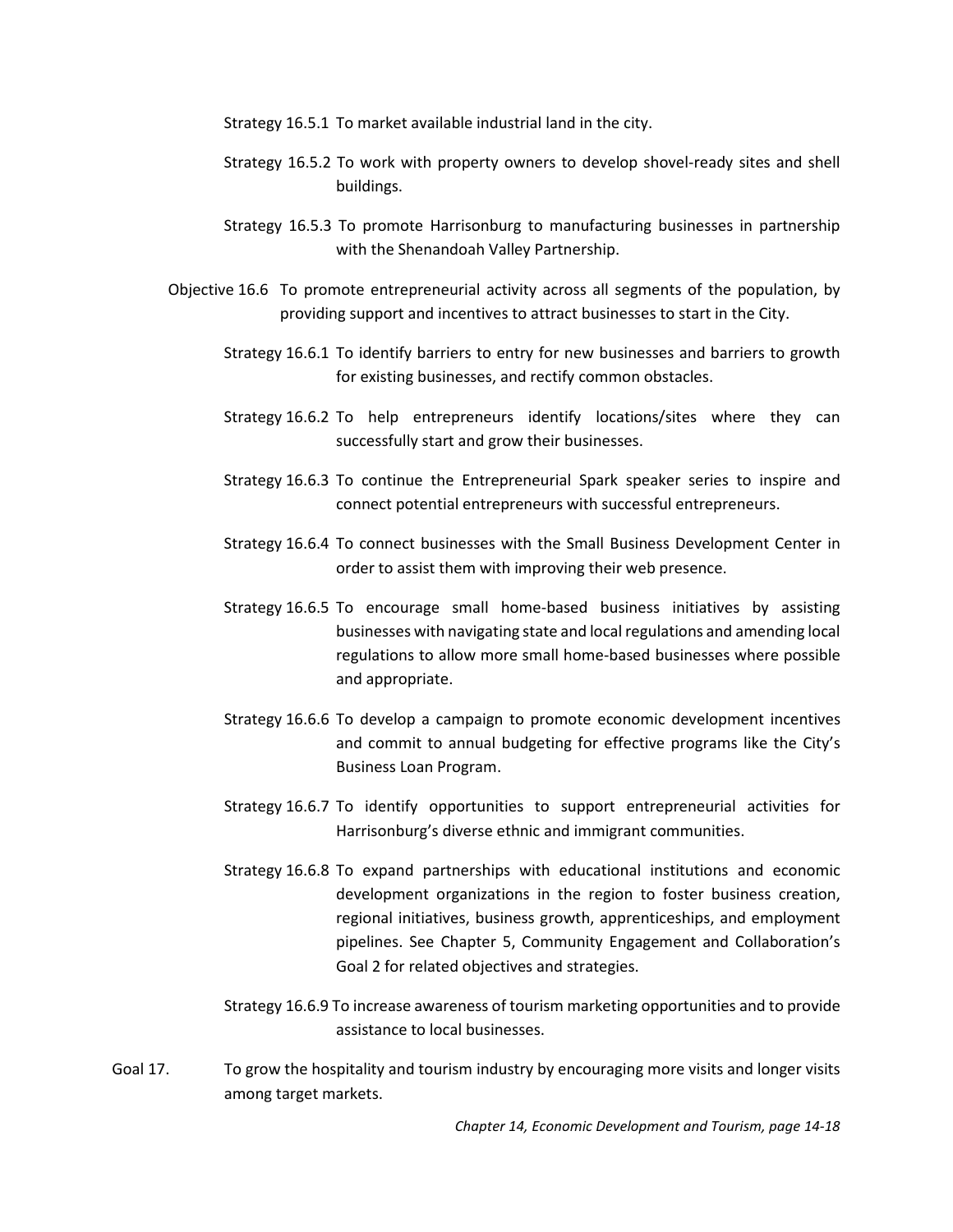meet demands of business and industry. See Chapter 8, Education, Workforce Development, and Lifelong Learning's Objective 7.3 for related strategies.

- Strategy 16.3.1 To promote the awareness of programs offered by and information available from organizations such as the Shenandoah Valley Workforce Development Board (SVWDB), the SVWDB Valley Workforce Center, and the Valley Career Hub online site.
- Strategy 16.3.2 To explore programs and initiatives that offer skilled trades training for people in the City.
- Strategy 16.3.3 To connect employers with education providers so that they can work together to develop training, apprenticeship, and other programs to train and educate people to fill the needs of employers while also helping to improve opportunities for individual people.
- Strategy 16.3.4 To actively promote the Virginia Jobs Investment Program.
- Strategy 16.3.5 To collaborate with service providers to help people in the City overcome barriers to employment such as basic education and training, transportation, childcare, and other obstacles.
- Strategy 16.3.6 To strengthen the availability and quality of childcare and early childhood education for the current workforce and as an investment in the workforce of the future.
- Objective 16.4 To increase technology-related job opportunities in the City.

Strategy 16.4.1 To promote the benefits of the City's two technology zones.

- Strategy 16.4.2 To grow technology zone incentives and marketing to attract expansion investments from information technology, telecommunication, and cyber security companies from the Washington, D.C. metro area as well as among local and regional companies.
- Strategy 16.4.3 To collaborate with James Madison Innovations and the James Madison University Center for Entrepreneurship to attract start-up technology companies.
- Strategy 16.4.4 To identify training and education opportunities to retain immigrants and veterans living in our community by providing them with skills that can be transferred to technology job opportunities.
- Objective 16.5 To attract capital-intensive operations to the City to increase the machinery and tools tax base.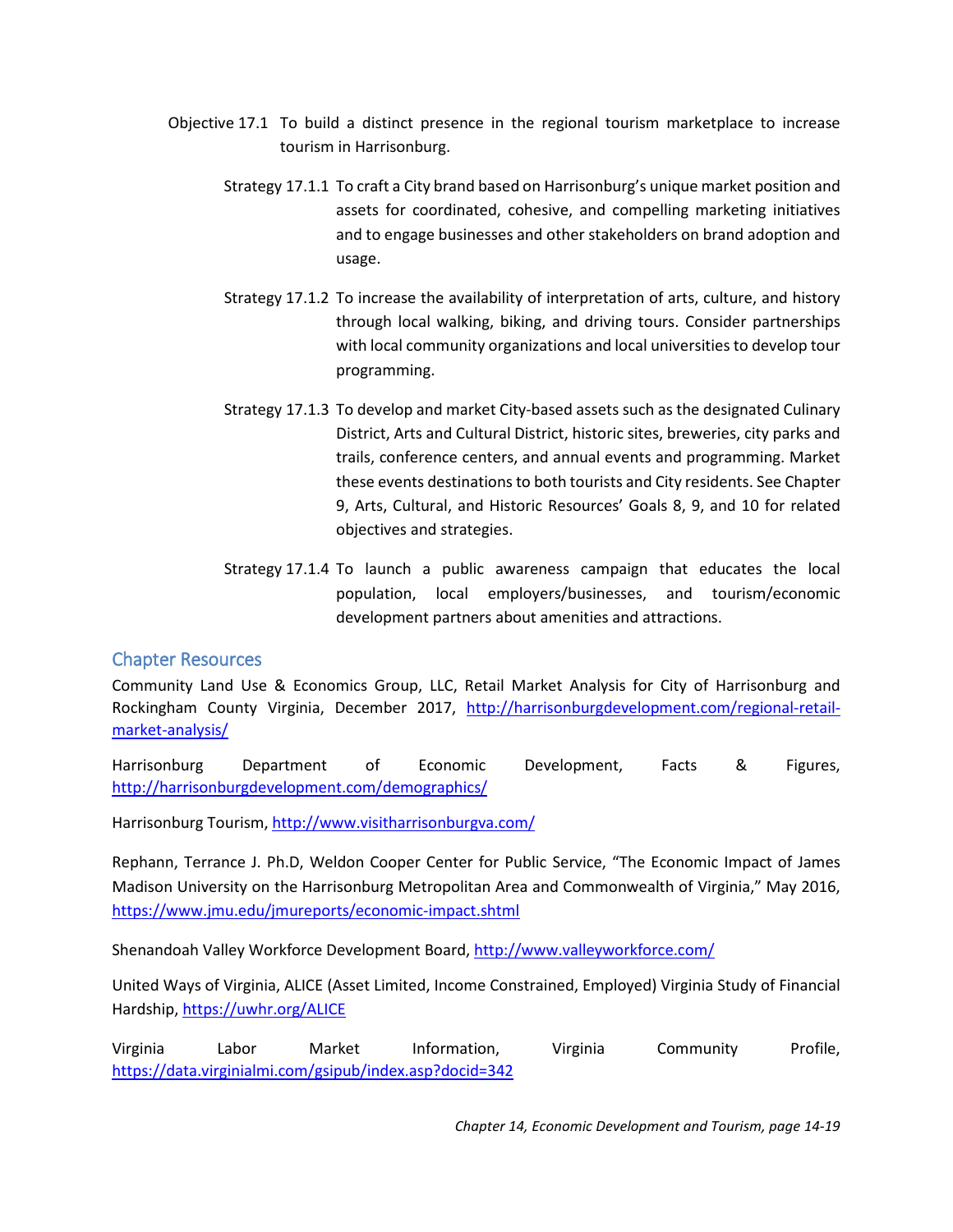- Strategy 16.5.1 To market available industrial land in the city.
- Strategy 16.5.2 To work with property owners to develop shovel-ready sites and shell buildings.
- Strategy 16.5.3 To promote Harrisonburg to manufacturing businesses in partnership with the Shenandoah Valley Partnership.
- Objective 16.6 To promote entrepreneurial activity across all segments of the population, by providing support and incentives to attract businesses to start in the City.
	- Strategy 16.6.1 To identify barriers to entry for new businesses and barriers to growth for existing businesses, and rectify common obstacles.
	- Strategy 16.6.2 To help entrepreneurs identify locations/sites where they can successfully start and grow their businesses.
	- Strategy 16.6.3 To continue the Entrepreneurial Spark speaker series to inspire and connect potential entrepreneurs with successful entrepreneurs.
	- Strategy 16.6.4 To connect businesses with the Small Business Development Center in order to assist them with improving their web presence.
	- Strategy 16.6.5 To encourage small home-based business initiatives by assisting businesses with navigating state and local regulations and amending local regulations to allow more small home-based businesses where possible and appropriate.
	- Strategy 16.6.6 To develop a campaign to promote economic development incentives and commit to annual budgeting for effective programs like the City's Business Loan Program.
	- Strategy 16.6.7 To identify opportunities to support entrepreneurial activities for Harrisonburg's diverse ethnic and immigrant communities.
	- Strategy 16.6.8 To expand partnerships with educational institutions and economic development organizations in the region to foster business creation, regional initiatives, business growth, apprenticeships, and employment pipelines. See Chapter 5, Community Engagement and Collaboration's Goal 2 for related objectives and strategies.
	- Strategy 16.6.9 To increase awareness of tourism marketing opportunities and to provide assistance to local businesses.
- Goal 17. To grow the hospitality and tourism industry by encouraging more visits and longer visits among target markets.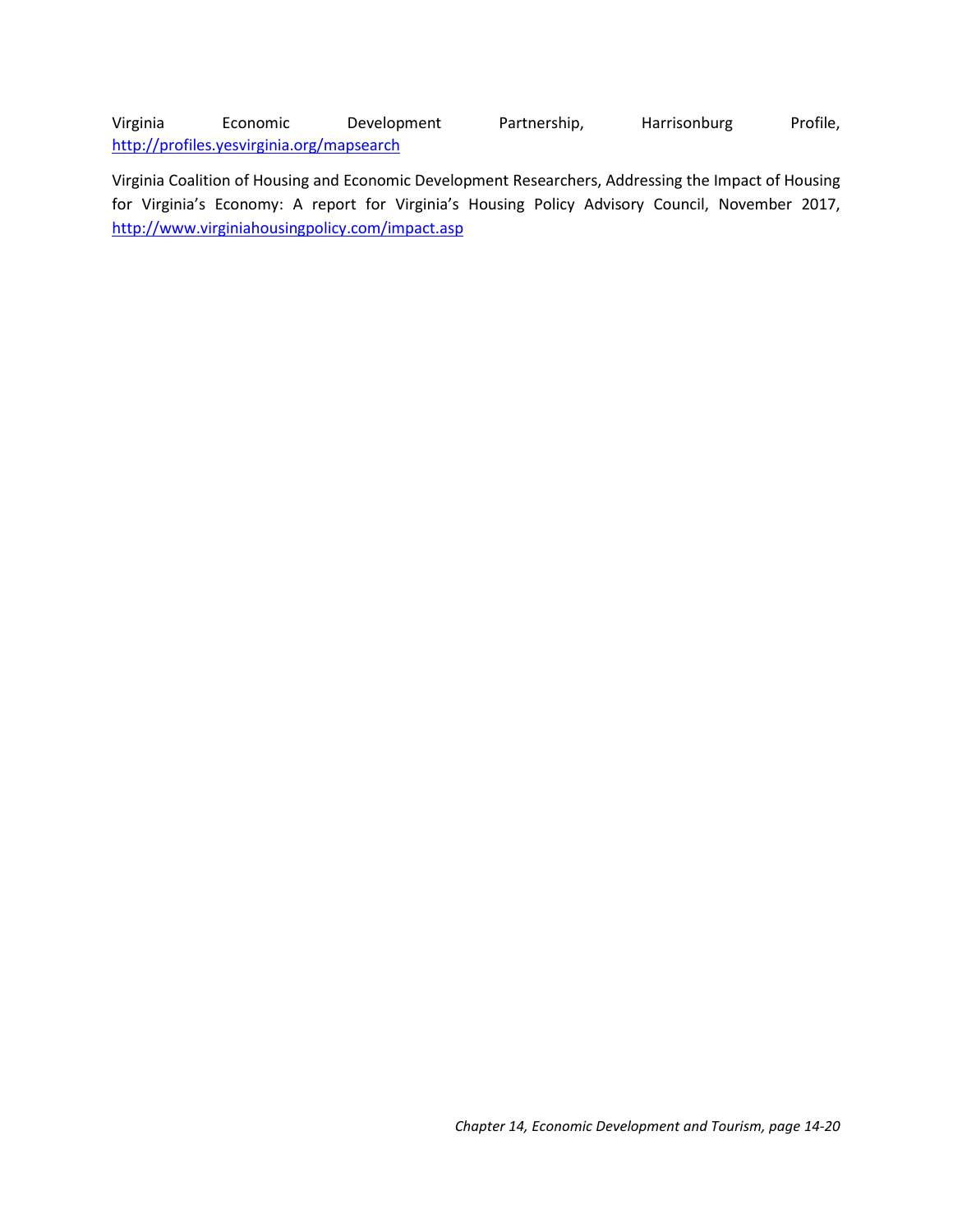- Objective 17.1 To build a distinct presence in the regional tourism marketplace to increase tourism in Harrisonburg.
	- Strategy 17.1.1 To craft a City brand based on Harrisonburg's unique market position and assets for coordinated, cohesive, and compelling marketing initiatives and to engage businesses and other stakeholders on brand adoption and usage.
	- Strategy 17.1.2 To increase the availability of interpretation of arts, culture, and history through local walking, biking, and driving tours. Consider partnerships with local community organizations and local universities to develop tour programming.
	- Strategy 17.1.3 To develop and market City-based assets such as the designated Culinary District, Arts and Cultural District, historic sites, breweries, city parks and trails, conference centers, and annual events and programming. Market these events destinations to both tourists and City residents. See Chapter 9, Arts, Cultural, and Historic Resources' Goals 8, 9, and 10 for related objectives and strategies.
	- Strategy 17.1.4 To launch a public awareness campaign that educates the local population, local employers/businesses, and tourism/economic development partners about amenities and attractions.

# <span id="page-19-0"></span>Chapter Resources

Community Land Use & Economics Group, LLC, Retail Market Analysis for City of Harrisonburg and Rockingham County Virginia, December 2017, [http://harrisonburgdevelopment.com/regional-retail](http://harrisonburgdevelopment.com/regional-retail-market-analysis/)[market-analysis/](http://harrisonburgdevelopment.com/regional-retail-market-analysis/)

Harrisonburg Department of Economic Development, Facts & Figures, <http://harrisonburgdevelopment.com/demographics/>

Harrisonburg Tourism,<http://www.visitharrisonburgva.com/>

Rephann, Terrance J. Ph.D, Weldon Cooper Center for Public Service, "The Economic Impact of James Madison University on the Harrisonburg Metropolitan Area and Commonwealth of Virginia," May 2016, <https://www.jmu.edu/jmureports/economic-impact.shtml>

Shenandoah Valley Workforce Development Board[, http://www.valleyworkforce.com/](http://www.valleyworkforce.com/)

United Ways of Virginia, ALICE (Asset Limited, Income Constrained, Employed) Virginia Study of Financial Hardship,<https://uwhr.org/ALICE>

Virginia Labor Market Information, Virginia Community Profile, <https://data.virginialmi.com/gsipub/index.asp?docid=342>